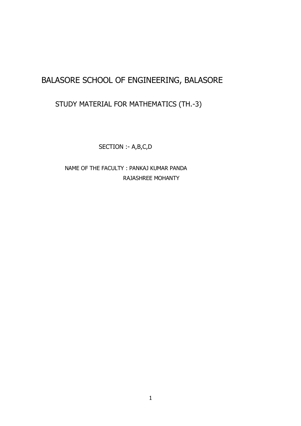# BALASORE SCHOOL OF ENGINEERING, BALASORE

# STUDY MATERIAL FOR MATHEMATICS (TH.-3)

SECTION :- A,B,C,D

 NAME OF THE FACULTY : PANKAJ KUMAR PANDA RAJASHREE MOHANTY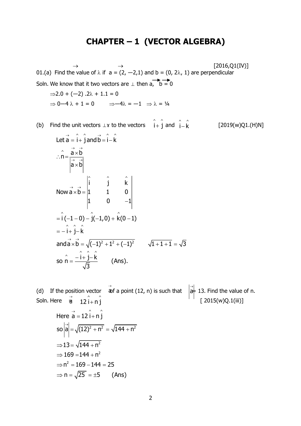## **CHAPTER – 1 (VECTOR ALGEBRA)**

 $\rightarrow$   $\rightarrow$  [2016,Q1(IV)] 01.(a) Find the value of  $\lambda$  if  $a = (2, -2, 1)$  and  $b = (0, 2\lambda, 1)$  are perpendicular Soln. We know that it two vectors are  $\perp$  then  $a, b = 0$  $\Rightarrow$ 2.0 + (-2) .2 $\lambda$  + 1.1 = 0  $\Rightarrow$  0-4  $\lambda$  + 1 = 0  $\Rightarrow$  -4 $\lambda$  = -1  $\Rightarrow$   $\lambda$  = 1/4

(b) Find the unit vectors  $\hat{\perp}$  x to the vectors  $\hat{i} + \hat{j}$  and  $\hat{i} - \hat{k}$  [2019(w)Q1.(H)N]

Let 
$$
\vec{a} = \hat{i} + \hat{j}
$$
 and  $\vec{b} = \hat{i} - \hat{k}$   
\n
$$
\therefore \vec{n} = \frac{\vec{a} \times \vec{b}}{|\vec{a} \times \vec{b}|}
$$
\nNow  $\vec{a} \times \vec{b} = \begin{vmatrix} \hat{i} & \hat{j} & \hat{k} \\ 1 & 1 & 0 \\ 1 & 0 & -1 \end{vmatrix}$   
\n
$$
= \hat{i}(-1-0) - \hat{j}(-1,0) + \hat{k}(0-1)
$$
\n
$$
= -\hat{i} + \hat{j} - \hat{k}
$$
\nand  $\vec{a} \times \vec{b} = \sqrt{(-1)^2 + 1^2 + (-1)^2}$   $\sqrt{1 + 1 + 1} = \sqrt{3}$   
\nso  $\hat{n} = \frac{\hat{i} + \hat{j} - \hat{k}}{\sqrt{3}}$  (Ans).

(d) If the position vector  $\overrightarrow{a}$  of a point (12, n) is such that  $\overrightarrow{a}$  at 13. Find the value of n. Soln. Here = [ 2015(w)Q.1(iii)]  $\stackrel{\rightarrow}{\mathtt{a}}$  12  $\stackrel{\leftarrow}{\mathsf{i}}$  + n  $\stackrel{\leftarrow}{\mathtt{j}}$  a Here  $\vec{a} = 12 \hat{i} + n \hat{j}$  $\left|\vec{a}\right| = \sqrt{(12)^2 + n^2} = \sqrt{144 + n^2}$  $\Rightarrow 13 = \sqrt{144 + n^2}$  $\Rightarrow$  15 =  $\sqrt{111 + n}$ <br> $\Rightarrow$  169 = 144 + n<sup>2</sup> ⇒  $109 - 144 = 25$ <br>⇒  $n^2 = 169 - 144 = 25$  $\Rightarrow$  n =  $\sqrt{25}$  =  $\pm$ 5 (Ans) 2 2 2  $13 = \sqrt{144 + n}$  $15 - \sqrt{1 + 1 + \dots}$ <br> $169 = 144 + n$  $n^2 = 169 - 144 = 25$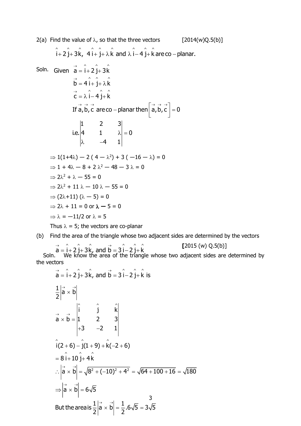2(a) Find the value of 
$$
\lambda
$$
, so that the three vectors [2014(w)Q.5(b)]  
\n $\hat{i}+2\hat{j}+3\hat{k}$ ,  $4\hat{i}+\hat{j}+\lambda\hat{k}$  and  $\lambda\hat{i}-4\hat{j}+\hat{k}$  are co-planar.  
\nSoln. Given  $\vec{a} = \hat{i}+2\hat{j}+3\hat{k}$   
\n $\vec{b} = 4\hat{i}+\hat{j}+\lambda\hat{k}$   
\n $\vec{c} = \lambda \hat{i}-4\hat{j}+\hat{k}$   
\nIf  $\vec{a}, \vec{b}, \vec{c}$  are co-planar then  $\begin{bmatrix} \vec{a}, \vec{b}, \vec{c} \end{bmatrix} = 0$   
\n $\begin{vmatrix} 1 & 2 & 3 \\ 4 & 1 & \lambda \\ \lambda & -4 & 1 \end{vmatrix} = 0$   
\n $\Rightarrow 1(1+4\lambda) - 2(4-\lambda^2) + 3(-16-\lambda) = 0$   
\n $\Rightarrow 1 + 4\lambda - 8 + 2\lambda^2 - 48 - 3\lambda = 0$   
\n $\Rightarrow 2\lambda^2 + \lambda - 55 = 0$   
\n $\Rightarrow 2\lambda^2 + 11\lambda - 10\lambda - 55 = 0$   
\n $\Rightarrow (2\lambda+11)(\lambda-5) = 0$   
\n $\Rightarrow 2\lambda + 11 = 0$  or  $\lambda - 5 = 0$   
\n $\Rightarrow \lambda = -11/2$  or  $\lambda = 5$   
\nThus  $\lambda = 5$ ; the vectors are co-planar

(b) Find the area of the triangle whose two adjacent sides are determined by the vectors

**[**2015 (w) Q.5(b)] Soln. We know the area of the triangle whose two adjacent sides are determined by the vectors  $\rightarrow$   $\rightarrow$   $\rightarrow$   $\rightarrow$   $\overrightarrow{a} = \hat{i} + 2 \hat{j} + 3\hat{k}$ , and  $\overrightarrow{b} = 3 \hat{i} - 2 \hat{j} + \hat{k}$ 

$$
\vec{a} = \hat{i} + 2\hat{j} + 3\hat{k}, \text{ and } \vec{b} = 3\hat{i} - 2\hat{j} + \hat{k} \text{ is}
$$
\n
$$
\frac{1}{2} \begin{vmatrix} \vec{a} & \vec{b} \\ \vec{a} & \vec{b} \end{vmatrix}
$$
\n
$$
\vec{a} \times \vec{b} = \begin{vmatrix} \hat{i} & \hat{j} & \hat{k} \\ 1 & 2 & 3 \\ 1 & -2 & 1 \end{vmatrix}
$$
\n
$$
\hat{i}(2+6) - \hat{j}(1+9) + \hat{k}(-2+6)
$$
\n
$$
= 8\hat{i} + 10\hat{j} + 4\hat{k}
$$
\n
$$
\therefore \begin{vmatrix} \vec{a} & \vec{b} \\ \vec{a} & \vec{b} \end{vmatrix} = \sqrt{8^2 + (-10)^2 + 4^2} = \sqrt{64 + 100 + 16} = \sqrt{180}
$$
\n
$$
\Rightarrow \begin{vmatrix} \vec{a} & \vec{b} \\ \vec{a} & \vec{b} \end{vmatrix} = 6\sqrt{5}
$$
\nBut the areas is  $\frac{1}{2} \begin{vmatrix} \vec{a} & \vec{b} \\ \vec{a} & \vec{b} \end{vmatrix} = \frac{1}{2}.6\sqrt{5} = 3\sqrt{5}$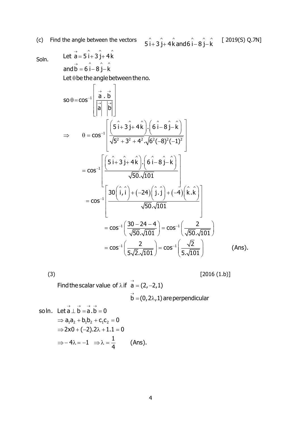(c) Find the angle between the vectors  $\hat{i}$   $\hat{j}$  +  $\hat{i}$   $\hat{k}$  and  $\hat{i}$   $\hat{i}$   $\hat{k}$   $\hat{k}$   $\hat{i}$   $\hat{k}$   $\hat{k}$   $\hat{k}$   $\hat{k}$   $\hat{k}$   $\hat{k}$   $\hat{k}$   $\hat{k}$   $\hat{k}$   $\hat{k}$   $\hat{k}$   $\hat{k}$   $\hat{k}$   $\hat{k}$   $\hat{k}$   $\hat{k}$   ${\bf 5} \hat {\bf i} + {\bf 3} \hat {\bf j} + {\bf 4} \hat {\bf k}$  and 6  $\hat {\bf i} - {\bf 8} \hat {\bf j} - \hat {\bf k}$ 

Soln.

Let 
$$
\overrightarrow{a} = 5\hat{i} + 3\hat{j} + 4\hat{k}
$$
  
and  $\overrightarrow{b} = 6\hat{i} - 8\hat{j} - \hat{k}$ 

 $\rightarrow$ 

Let  $\theta$  be the angle between the no.

$$
so \theta = cos^{-1} \left[ \frac{\vec{a} \cdot \vec{b}}{|\vec{a}| |\vec{b}|} \right]
$$
  
\n
$$
\Rightarrow \theta = cos^{-1} \left[ \frac{(5\hat{i} + 3\hat{j} + 4\hat{k}) \cdot (6\hat{i} - 8\hat{j} - \hat{k})}{\sqrt{5^2 + 3^2 + 4^2} \cdot \sqrt{6^2(-8)^2(-1)^2}} \right]
$$
  
\n
$$
= cos^{-1} \left[ \frac{(5\hat{i} + 3\hat{j} + 4\hat{k}) \cdot (6\hat{i} - 8\hat{j} - \hat{k})}{\sqrt{50} \cdot \sqrt{101}} \right]
$$
  
\n
$$
= cos^{-1} \left[ \frac{30(\hat{i}, \hat{i}) + (-24)(\hat{j} \cdot \hat{j}) + (-4)(\hat{k} \cdot \hat{k})}{\sqrt{50} \cdot \sqrt{101}} \right]
$$
  
\n
$$
= cos^{-1} \left( \frac{30 - 24 - 4}{\sqrt{50} \cdot \sqrt{101}} \right) = cos^{-1} \left( \frac{2}{\sqrt{50} \cdot \sqrt{101}} \right)
$$
  
\n
$$
= cos^{-1} \left( \frac{2}{5\sqrt{2} \cdot \sqrt{101}} \right) = cos^{-1} \left( \frac{\sqrt{2}}{5\sqrt{101}} \right)
$$
 (Ans).

 $(3)$   $[2016 (1.b)]$ 

Find the scalar value of  $\lambda$  if  $\overrightarrow{a} = (2, -2, 1)$  $\stackrel{\rightarrow}{\text{b}}$  = (0, 2 $\lambda$ , 1) are perpendicular

so In. Let 
$$
\vec{a} \perp \vec{b} = \vec{a} \cdot \vec{b} = 0
$$
  
\n $\Rightarrow a_1 a_2 + b_1 b_2 + c_1 c_2 = 0$   
\n $\Rightarrow 2 \times 0 + (-2) \cdot 2\lambda + 1 \cdot 1 = 0$   
\n $\Rightarrow -4\lambda = -1 \Rightarrow \lambda = \frac{1}{4}$  (Ans).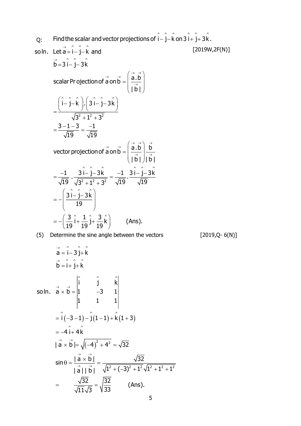Q: soln. Let  $\vec{a} = \hat{i} - \hat{j} - \hat{k}$  and  $[2019W, 2F(N)]$ (5) Determine the sine angle between the vectors [2019,Q- 6(N)] Find the scalar and vector projections of  $\hat{\rm i} - \hat{\rm j} - \hat{\rm k}$  on 3  $\hat{\rm i} + \hat{\rm j}$  + 3  $\hat{\rm k}$  .  $\vec{b} = 3 \hat{i} - \hat{j} - 3\hat{k}$ ^ ^ ^ ^ ^ ^ ^ ^ ^ 2.12.<del>0</del>2 scalar Pr ojection of  $\vec{a}$  on  $\vec{b} = \left| \begin{array}{c} a.b \ \hline \end{array} \right|$ |b| i – j – k |.| 3 i – j – 3k  $3^2 + 1^2 + 3$ 3 -1-3 -1 19 19 vector projection of  $\vec{a}$  on  $\vec{b} = \left| \frac{\vec{a} \cdot \vec{b}}{\rightarrow} \right| \frac{\vec{b}}{\rightarrow}$  $\rightarrow$   $\rightarrow$   $\rightarrow$   $\rightarrow$  $\rightarrow$ = 1 - 1 -=ו –וכ−  $(\rightarrow \rightarrow)$  $= |$   $\frac{\mathsf{a.b}}{\cdots} |$  $\left(\overline{\overrightarrow{b}}\right)$  $=\frac{(\hat{i}-\hat{j}-\hat{k})\cdot(3\hat{i}-\hat{j}-3\hat{k})}{\sqrt{3^2+1^2+3^2}}$  ^ ^ ^ ^ ^ ^ 2.12.<del>0</del>2  $\hat{\mathsf{3}}$   $\hat{\mathsf{i}}$   $\hat{\mathsf{-}}$   $\hat{\mathsf{j}}$   $\hat{\mathsf{-}}$   $\hat{\mathsf{3}}$   $\hat{\mathsf{k}}$  $\frac{3}{19} \hat{i} + \frac{1}{19} \hat{j} + \frac{3}{19} \hat{k}$  (Ans). | b | | b |  $\frac{-1}{19}$   $\frac{3i - j - 3k}{\sqrt{3^2 + 1^2 + 3^2}} = \frac{-1}{\sqrt{19}} \cdot \frac{3i - j - 3k}{\sqrt{19}}$ 19  $\rightarrow$   $\rightarrow$   $\left(\begin{array}{cc} \rightarrow & \rightarrow \\ \rightarrow & h \end{array}\right)$   $\rightarrow$  $\rightarrow$  1  $\rightarrow$  $(\rightarrow \rightarrow)$  $= |$   $\overline{a}$ .b  $\left(\overline{\overrightarrow{b}}\right)$ = \_\_\_ , \_\_\_\_\_\_\_\_\_ = \_\_\_ , \_\_\_\_  $+$  1-  $+$  $=-\left(\hat{3i}-\hat{j}-3\hat{k}\right)$  $\begin{pmatrix} 19 \end{pmatrix}$  $\left(3\begin{array}{cc} 3 & 1 & 3 \\ 0 & 1 & 3 \end{array}\right)$  $=-\left(\frac{1}{19}i+\frac{1}{19}j+\frac{1}{19}k\right)$  $\vec{a} = \hat{i} - 3 \hat{j} + \hat{k}$  $\vec{b} = \hat{i} + \hat{j} + \hat{k}$ +ا ک – ا =  $=$  I+ I+  $\wedge$   $\wedge$   $\wedge$ 

so In. 
$$
\vec{a} \times \vec{b} = \begin{vmatrix} \hat{i} & \hat{j} & \hat{k} \\ 1 & -3 & 1 \\ 1 & 1 & 1 \end{vmatrix}
$$
  
\n
$$
= \hat{i}(-3-1) - \hat{j}(1-1) + \hat{k}(1+3)
$$
\n
$$
= -4\hat{i} + 4\hat{k}
$$
\n
$$
|\vec{a} \times \vec{b}| = \sqrt{(-4)^2 + 4^2} = \sqrt{32}
$$
\n
$$
\sin \theta = \frac{|\vec{a} \times \vec{b}|}{|\vec{a}| |\vec{b}|} = \frac{\sqrt{32}}{\sqrt{1^2 + (-3)^2 + 1^2} \sqrt{1^2 + 1^2 + 1^2}}
$$
\n
$$
= \frac{\sqrt{32}}{\sqrt{11}\sqrt{3}} = \sqrt{\frac{32}{33}} \qquad \text{(Ans.)}
$$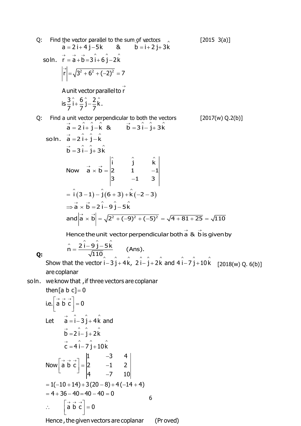Q: Find the vector parallel to the sum of vectors  
\n
$$
\vec{a} = 2\vec{i} + 4\vec{j} - 5\vec{k}
$$
 (2015 3(a)]  
\nso ln.  $\vec{r} = \vec{a} + \vec{b} = 3\hat{i} + 6\hat{j} - 2\hat{k}$   
\n $|\vec{r}| = \sqrt{3^2 + 6^2 + (-2)^2} = 7$   
\nA unit vector parallel to  $\vec{r}$   
\n $\vec{a} = 3\hat{i} + 6\hat{j} - 2\hat{k}$ .  
\nQ: Find a unit vector perpendicular to both the vectors  
\n $\vec{a} = 2\hat{i} + \hat{j} - \hat{k}$  (2017(w) Q.2(b))  
\n $\vec{a} = 2\hat{i} + \hat{j} - \hat{k}$  (3017(w) Q.2(b))  
\n $\vec{a} = 2\hat{i} + \hat{j} - \hat{k}$  (412017(w) Q.2(b))  
\n $\vec{a} = 2\hat{i} + \hat{j} - \hat{k}$  (52017(w) Q.2(b))  
\n $\vec{a} = 2\hat{i} + \hat{j} - \hat{k}$   
\nSo ln.  $\vec{a} = 2\hat{i} + \hat{j} - \hat{k}$   
\n $\vec{b} = 3\hat{i} - \hat{j} + 3\hat{k}$   
\nNow  $\vec{a} \times \vec{b} = \begin{vmatrix} \hat{i} & \hat{j} & \hat{k} \\ 2 & 1 & -1 \\ 3 & -1 & 3 \end{vmatrix}$   
\n $= \hat{i}(3-1) - \hat{j}(6+3) + \hat{k}(-2-3)$   
\n $\Rightarrow \vec{a} \times \vec{b} = 2\hat{i} - 9\hat{j} - 5\hat{k}$   
\nand  $|\vec{a} \times \vec{b}| = \sqrt{2^2 + (-9)^2 + (-5)^2} = \sqrt{4 + 81 + 25} = \sqrt{110}$   
\nHence the unit vector perpendicular both  $\vec{a}$  & 0 is given by  
\n $\hat{n} = \frac{2\hat{i} - 9\hat{j} - 5\hat{k}}{\sqrt{110}}$  (Ans).  
\nShow that the vector  $\hat{i} - 3\hat{j} + 4\hat{k}$ 

 $5(b)]$ are coplanar Show that the vector  $\hat{i} - 3\hat{j} + 4\hat{k}$ ,  $2\hat{i} - \hat{j} + 2$ <br>are coplanar<br>so ln. we know that , if three vectors are coplanar

are coplanar  
\nwe know that , if three vectors are coplanar  
\nthen [a b c] = 0  
\ni.e. 
$$
\begin{bmatrix} \vec{a} & \vec{b} & \vec{c} \\ \vec{a} & \vec{b} & \vec{c} \end{bmatrix} = 0
$$
  
\nLet  $\vec{a} = \hat{i} - 3\hat{j} + 4\hat{k}$  and  
\n $\vec{b} = 2\hat{i} - \hat{j} + 2\hat{k}$   
\n $\vec{c} = 4\hat{i} - 7\hat{j} + 10\hat{k}$   
\nNow  $\begin{bmatrix} \vec{a} & \vec{b} & \vec{c} \\ \vec{a} & \vec{b} & \vec{c} \end{bmatrix} = \begin{bmatrix} 1 & -3 & 4 \\ 2 & -1 & 2 \\ 4 & -7 & 10 \end{bmatrix}$   
\n $= 1(-10 + 14) + 3(20 - 8) + 4(-14 + 4)$   
\n $= 4 + 36 - 40 = 40 - 40 = 0$   
\n $\therefore \begin{bmatrix} \vec{a} & \vec{b} & \vec{c} \\ \vec{a} & \vec{b} & \vec{c} \end{bmatrix} = 0$   
\nHence, the given vectors are coplanar (Proved)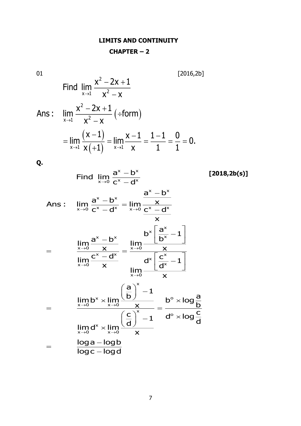## **LIMITS AND CONTINUITY**

## **CHAPTER – 2**

01 [2016,2b]

01  
Find 
$$
\lim_{x\to 1} \frac{x^2 - 2x + 1}{x^2 - x}
$$
  
Ans:  $\lim_{x\to 1} \frac{x^2 - 2x + 1}{x^2 - x} (+form)$ 

$$
\lim_{x \to 1} \frac{x^2 - 2x + 1}{x^2 - x} \left( \div \text{form} \right)
$$
\n
$$
= \lim_{x \to 1} \frac{(x - 1)}{x \left( +1 \right)} = \lim_{x \to 1} \frac{x - 1}{x} = \frac{1 - 1}{1} = \frac{0}{1} = 0.
$$

( ÷form )

**Q.**

Find 
$$
\lim_{x\to0} \frac{a^x - b^x}{c^x - d^x}
$$
 [2018,2b(s)]  
\nAns:  $\lim_{x\to0} \frac{a^x - b^x}{c^x - d^x} = \lim_{x\to0} \frac{\frac{a^x - b^x}{x}}{\frac{x^x}{x}}$   
\n $= \lim_{\begin{subarray}{l} \frac{x}{x\to0} \\ \frac{x}{x\to0} \end{subarray}} \frac{\frac{a^x - b^x}{x}}{\frac{x}{x}} = \frac{\lim_{x\to0} \frac{b^x \left[\frac{a^x}{b^x} - 1\right]}{x}}{\lim_{x\to0} \frac{a^x \left[\frac{c^x}{d^x} - 1\right]}{x}}$   
\n $= \lim_{\begin{subarray}{l} \frac{x}{x\to0} \\ \frac{x^x}{d^x} \end{subarray}} \frac{\left(\frac{a}{b}\right)^x - 1}{x} = \frac{b^0 \times \log \frac{a}{b}}{\log \frac{b}{c}}$   
\n $= \lim_{x\to0} d^x \times \lim_{x\to0} \frac{\left(\frac{c}{d}\right)^x - 1}{x} = \frac{b^0 \times \log \frac{a}{b}}{d^0 \times \log \frac{c}{d}}$   
\n $= \frac{\log a - \log b}{\log c - \log d}$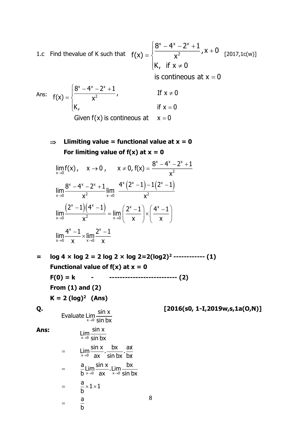1.c Find thevalue of K such that  $f(x) = \sqrt{2-x^2}$ ,  $x + 0$  [2017,1c(w)] x ax אר 2  $8^\mathsf{x}$  –  $4^\mathsf{x}$  –  $2^\mathsf{x}$  + 1  $f(x) = \frac{y^2 + 2y + 6}{x^2}$ , x + 0 K, if  $\mathsf{x} \neq \mathsf{0}$ is contineous at  $\mathsf{x} = \mathsf{0}$  $=\left\{\frac{8^{x}-4^{x}-2^{x}+1}{x^{2}},x+\right\}$ I  $\mathsf{\mathsf{K}}$ , if  $\mathsf{x} \neq$ 

Ans: x ax אר 2  $8^\mathsf{x}$  – 4 $^\mathsf{x}$  – 2 $^\mathsf{x}$  + 1  $f(x) = \begin{cases} \frac{x^2 + 2x + 1}{x^2}, & \text{if } x \neq 0 \end{cases}$ K, if  $x = 0$ Given f(x) is contineous at  $x = 0$  $=\begin{cases} \frac{8^{x}-4^{x}-2^{x}+1}{x^{2}}, \end{cases}$  If x ≠  $\begin{cases} \mathsf{K}, & \mathsf{if} \ \mathsf{X} = \end{cases}$ 

 $\Rightarrow$  Llimiting value = functional value at  $x = 0$ For limiting value of  $f(x)$  at  $x = 0$ 

$$
\lim_{x \to 0} f(x), \quad x \to 0, \quad x \neq 0, f(x) = \frac{8^x - 4^x - 2^x + 1}{x^2}
$$
\n
$$
\lim_{x \to 0} \frac{8^x - 4^x - 2^x + 1}{x^2} \lim_{x \to 0} \frac{4^x (2^x - 1) - 1(2^x - 1)}{x^2}
$$
\n
$$
\lim_{x \to 0} \frac{(2^x - 1)(4^x - 1)}{x^2} = \lim_{x \to 0} \left(\frac{2^x - 1}{x}\right) \times \left(\frac{4^x - 1}{x}\right)
$$
\n
$$
\lim \frac{4^x - 1}{x} \times \lim \frac{2^x - 1}{x^2}
$$

**= log 4 × log 2 = 2 log 2 × log 2=2(log2)<sup>2</sup> ------------ (1) Functional value of**  $f(x)$  **at**  $x = 0$ **F(0) = k - -------------------------- (2) From (1) and (2)**  $K = 2$   $(log)^2$   $(Ans)$ **Q. [2016(s0, 1-I,2019w,s,1a(O,N)]** Evaluate Lim  $\frac{\sin x}{\sin bx}$  $\lim_{x\to 0} \frac{\sin x}{\sin bx}$ 

8

**Ans:**

$$
\lim_{x \to 0} \frac{\sin x}{\sin bx}
$$
\n
$$
= \lim_{x \to 0} \frac{\sin x}{\sin x} \cdot \frac{bx}{\sin bx} \cdot \frac{ax}{bx}
$$
\n
$$
= \frac{a}{b} \lim_{x \to 0} \frac{\sin x}{ax} \cdot \lim_{x \to 0} \frac{bx}{\sin bx}
$$
\n
$$
= \frac{a}{b} \times 1 \times 1
$$
\n
$$
= \frac{a}{b}
$$

 $\mathsf{x} \rightarrow \mathsf{0}$   $\mathsf{X}$   $\mathsf{x} \rightarrow \mathsf{0}$   $\mathsf{X}$ 

 $+1$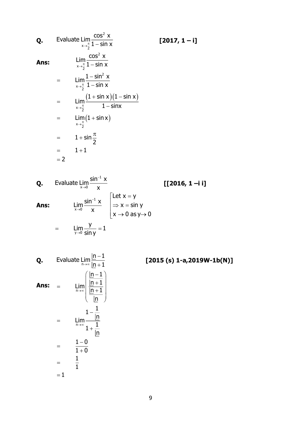**Q.** Evaluate 
$$
\lim_{x \to \frac{\pi}{2}} \frac{\cos^2 x}{1 - \sin x}
$$
 [2017, 1 - i]  
\n**Ans:** 
$$
\lim_{x \to \frac{\pi}{2}} \frac{\cos^2 x}{1 - \sin x}
$$
  
\n
$$
= \lim_{x \to \frac{\pi}{2}} \frac{1 - \sin^2 x}{1 - \sin x}
$$
  
\n
$$
= \lim_{x \to \frac{\pi}{2}} \frac{(1 + \sin x)(1 - \sin x)}{1 - \sin x}
$$
  
\n
$$
= \lim_{x \to \frac{\pi}{2}} (1 + \sin x)
$$
  
\n
$$
= 1 + \sin \frac{\pi}{2}
$$
  
\n
$$
= 1 + 1
$$
  
\n
$$
= 2
$$

**Q. [[2016, 1 –i i] Ans:** 1 Evaluate Lim $\frac{\sin^{-1} x}{x}$ 1  $x{\rightarrow} 0$ y→0 x Let  ${\mathsf x} = {\mathsf y}$  $\lim_{x\to 0} \frac{\sin^{-1} x}{x} \quad \bigg|\n\implies x = \sin y$ <br>  $\bigg| \implies x \to 0 \text{ as } y \to 0$ Lim $\frac{y}{-} = 1$  $=$   $\lim_{y\to 0} \frac{1}{\sin y} =$ т,  $\rightarrow$ т,  $\rightarrow$  $\lceil$ Let x =  $\Rightarrow$  x =  $\big\lfloor\mathsf{x}\mathbin{\rightarrow} 0$  as y $\mathbin{\rightarrow}$ 

**Q.** Evaluate 
$$
\lim_{n \to \infty} \frac{\ln - 1}{\ln + 1}
$$
 [2015 (s) 1-a,2019W-1b(N)]  
\n**Ans:** =  $\lim_{n \to \infty} \left( \frac{\frac{\ln - 1}{\ln + 1}}{\frac{\ln + 1}{\ln}}$   
\n=  $\lim_{n \to \infty} \frac{1 - \frac{1}{\ln}}{1 + \frac{1}{\ln}}$   
\n=  $\frac{1 - 0}{1 + 0}$   
\n=  $\frac{1}{1}$   
\n= 1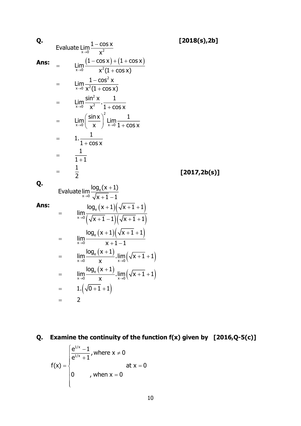| Q.   |     |                                                                                                                 | [2018(s), 2b] |
|------|-----|-----------------------------------------------------------------------------------------------------------------|---------------|
|      |     | Evaluate $\lim_{x\to 0} \frac{1-\cos x}{x^2}$                                                                   |               |
| Ans: |     | $\lim_{x\to 0}\frac{(1-\cos x)+(1+\cos x)}{x^2(1+\cos x)}$                                                      |               |
|      |     | $\lim_{x\to 0}\frac{1-\cos^2 x}{x^2(1+\cos x)}$                                                                 |               |
|      | $=$ | $\lim_{x\to 0}\frac{\sin^2 x}{x^2}\cdot\frac{1}{1+\cos x}$                                                      |               |
|      | $=$ | $\lim_{x\to 0} \left(\frac{\sin x}{x}\right)^2 \lim_{x\to 0} \frac{1}{1+\cos x}$                                |               |
|      | $=$ | $1.\frac{1}{1+\cos x}$                                                                                          |               |
|      | $=$ | $\frac{1}{1+1}$                                                                                                 |               |
|      |     | $\frac{1}{2}$                                                                                                   | [2017, 2b(s)] |
| Q.   |     | Evaluate $\lim_{x\to 0} \frac{\log_e(x+1)}{\sqrt{x+1}-1}$                                                       |               |
| Ans: |     | $\lim_{x\to 0} \frac{\log_e(x+1)\left(\sqrt{x+1}+1\right)}{\left(\sqrt{x+1}-1\right)\left(\sqrt{x+1}+1\right)}$ |               |
|      | =   | $\lim_{x\to 0}\frac{\log_e(x+1)\left(\sqrt{x+1}+1\right)}{x+1-1}$                                               |               |
|      | $=$ | $\lim_{x\to 0} \frac{\log_e(x+1)}{x} \cdot \lim_{x\to 0} (\sqrt{x+1} + 1)$                                      |               |
|      |     | $\lim_{x\to 0}\frac{\log_e(x+1)}{x}\cdot\lim_{x\to 0}(\sqrt{x+1}+1)$                                            |               |
|      | $=$ | $1.\left(\sqrt{0+1}+1\right)$                                                                                   |               |
|      | $=$ | $\overline{2}$                                                                                                  |               |

# **Q. Examine the continuity of the function f(x) given by [2016,Q-5(c)]**

$$
f(x) = \begin{cases} \frac{e^{1/x} - 1}{e^{1/x} + 1}, & \text{where } x \neq 0 \\ 0 & \text{at } x = 0 \end{cases}
$$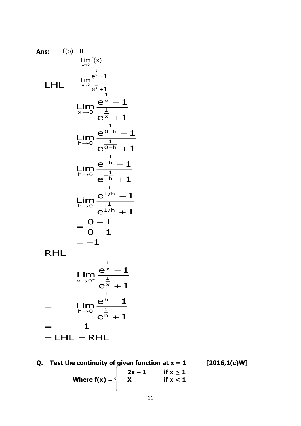Ans: 
$$
f(0) = 0
$$
  
\n
$$
\lim_{x \to 0} f(x)
$$
\n
$$
LHL = \lim_{x \to 0} \frac{e^{\frac{1}{x}} - 1}{e^{\frac{1}{x}} + 1}
$$
\n
$$
\lim_{x \to 0} \frac{e^{\frac{1}{x}} - 1}{e^{\frac{1}{x}} + 1}
$$
\n
$$
\lim_{h \to 0} \frac{e^{\frac{1}{0-h}} - 1}{e^{\frac{1}{0-h}} + 1}
$$
\n
$$
\lim_{h \to 0} \frac{e^{-\frac{1}{h}} - 1}{e^{-\frac{1}{h}} + 1}
$$
\n
$$
\lim_{h \to 0} \frac{e^{\frac{1}{1/h}} - 1}{e^{\frac{1}{1/h}} + 1}
$$
\n
$$
= \frac{0 - 1}{0 + 1}
$$
\nRHL

$$
\lim_{x \to 0^{+}} \frac{e^{\frac{1}{x}} - 1}{e^{\frac{1}{x}} + 1}
$$
\n
$$
= \lim_{x \to 0^{+}} \frac{e^{\frac{1}{x}} - 1}{e^{\frac{1}{x}} - 1}
$$

$$
= \lim_{h\to 0} \frac{e^h - 1}{e^h + 1}
$$

$$
= -1
$$

$$
= LHL = RHL
$$

1 x 1

┿

x 1 h

**Q.** Test the continuity of given function at  $x = 1$  [2016,1(c)W]  $2x - 1$  **if**  $x \ge 1$ Where  $f(x) = \begin{cases} x & \text{if } x < 1 \end{cases}$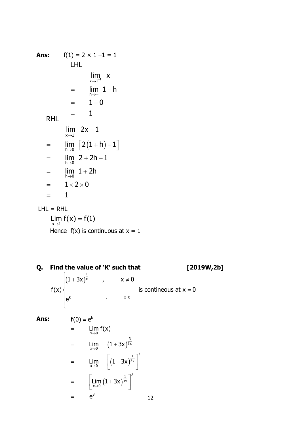Ans: 
$$
f(1) = 2 \times 1 - 1 = 1
$$
  
\nLHL  
\n
$$
\lim_{x \to 1^{-1}} x
$$
\n
$$
= \lim_{h \to -} 1 - h
$$
\n
$$
= 1 - 0
$$
\nRHL  
\n
$$
\lim_{x \to 1^{+}} 2x - 1
$$
\n
$$
= \lim_{h \to 0} [2(1 + h) - 1]
$$
\n
$$
= \lim_{h \to 0} 2 + 2h - 1
$$
\n
$$
= \lim_{h \to 0} 1 + 2h
$$
\n
$$
= 1 \times 2 \times 0
$$
\n
$$
= 1
$$

 $LHL = RHL$  $\lim_{x \to 1} f(x) = f(1)$ Hence  $f(x)$  is continuous at  $x = 1$ 

Q. Find the value of 'K' such that  $[2019W, 2b]$  $f(x)$   $\begin{cases} (1+3x)^{\frac{1}{x}} & , & x \neq 0 \\ e^{k} & , & x=0 \end{cases}$ is contineous at  $x = 0$  $f(0) = e^{k}$ Ans:  $\lim_{x\to 0} f(x)$  $=$ =  $\lim_{x\to 0} (1+3x)^{\frac{3}{3x}}$ <br>
=  $\lim_{x\to 0} [ (1+3x)^{\frac{1}{3x}} ]^3$ <br>
=  $\left[ \lim_{x\to 0} (1+3x)^{\frac{1}{3x}} \right]^3$  $e^3$  $=$ 12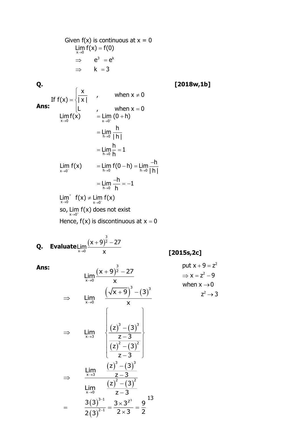Given  $f(x)$  is continuous at  $x = 0$ Lim  $f(x) = f(0)$  $\Rightarrow$  e<sup>3</sup> = e<sup>k</sup>  $\Rightarrow$  k = 3

**Q. [2018w,1b]**

If 
$$
f(x) = \begin{cases} \frac{x}{|x|} & , \text{ when } x \neq 0 \\ \frac{1}{|x|} & , \text{ when } x = 0 \end{cases}
$$
  
\n
$$
\lim_{x \to 0} f(x) = \lim_{x \to 0^+} (0 + h)
$$
\n
$$
= \lim_{h \to 0} \frac{h}{|h|}
$$
\n
$$
= \lim_{h \to 0} \frac{h}{h} = 1
$$
\n
$$
\lim_{x \to 0^-} f(x) = \lim_{h \to 0} f(0 - h) = \lim_{h \to 0} \frac{-h}{|h|}
$$
\n
$$
= \lim_{h \to 0} \frac{-h}{h} = -1
$$
\n
$$
\lim_{x \to 0^+} f(x) \neq \lim_{x \to 0^-} f(x)
$$
\nso,  $\lim_{x \to 0^+} f(x)$  does not exist  
\nHence,  $f(x)$  is discontinuous at  $x = 0$ 

**Q. Evaluate** Lim $\frac{(x+9)^{\frac{3}{2}}}{x+9}$ 2  $x{\rightarrow} 0$  $(x + 9)$ 2 – 27 Lim  $\rightarrow$  0  $\times$ + 914 –

**Ans:**

 **[2015s,2c]**

$$
\lim_{x \to 0} \frac{(x + 9)^{\frac{3}{2}} - 27}{x}
$$
\n
$$
\Rightarrow \lim_{x \to 0} \frac{(\sqrt{x + 9})^3 - (3)^3}{x}
$$
\n
$$
\Rightarrow \lim_{x \to 3} \frac{z}{\sqrt{x + 9}} = \frac{z - 3}{(z)^2 - (3)^2}
$$
\n
$$
\Rightarrow \lim_{x \to 3} \frac{(z)^3 - (3)^3}{z - 3}
$$
\n
$$
\Rightarrow \lim_{x \to 0} \frac{(z)^3 - (3)^3}{z - 3}
$$
\n
$$
= \frac{3(3)^{3-1}}{2(3)^{2-1}} = \frac{3 \times 3^{2^3}}{2 \times 3} = \frac{9}{2}
$$

put 
$$
x + 9 = z^2
$$
  
\n $\Rightarrow x = z^2 - 9$   
\nwhen  $x \rightarrow 0$   
\n $z^2 \rightarrow 3$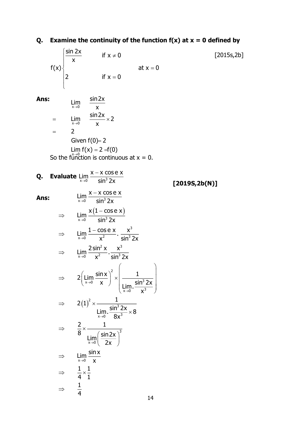Q. Examine the continuity of the function f(x) at x = 0 defined by  
\n
$$
f(x)
$$
  
\n $f(x)$   
\n $f(x)$   
\n $\frac{\sin 2x}{x}$  if x = 0\n  
\n  
\nAns:  
\n
$$
\lim_{x\to 0} \frac{\sin 2x}{x}
$$
  
\n $=\lim_{x\to 0} \frac{\sin 2x}{x}$   
\n $= 2$   
\n $\frac{\text{Given } f(0) = 2}{x}$   
\n $= 2$   
\n $\frac{\text{Given } f(0) = 2}{x}$   
\n $= \lim_{x\to 0} f(x) = 2 = f(0)$   
\nSo the function is continuous at x = 0.  
\nQ. Evaluate  $\lim_{x\to 0} \frac{x-x \cos e x}{\sin^3 2x}$   
\n $\Rightarrow \lim_{x\to 0} \frac{x(1-\cos e x)}{\sin^3 2x}$   
\n $\Rightarrow \lim_{x\to 0} \frac{1-\cos e x}{x^2} \cdot \frac{x^3}{\sin^3 2x}$   
\n $\Rightarrow \lim_{x\to 0} \frac{2 \sin^2 x}{x^2} \cdot \frac{x^3}{\sin^3 2x}$   
\n $\Rightarrow 2(\lim_{x\to 0} \frac{\sin x}{x})^2 \times \left(\frac{1}{\lim_{x\to 0} \frac{\sin^2 2x}{x^3}}\right)$   
\n $\Rightarrow 2(1)^2 \times \frac{1}{\lim_{x\to 0} \frac{\sin^2 2x}{8x^3}} = \frac{2}{\frac{1}{x}} \times \frac{\frac{1}{x}}{\frac{\sin^2 2x}{8x}}$   
\n $\Rightarrow \frac{2}{8} \times \frac{1}{\frac{\sin 2x}{x}} \times \frac{\sin 2x}{8x^3}$   
\n $\Rightarrow \frac{1}{x} \times \frac{\sin x}{x}$   
\n $\Rightarrow \frac{1}{4} \times \frac{1}{1}$ 

14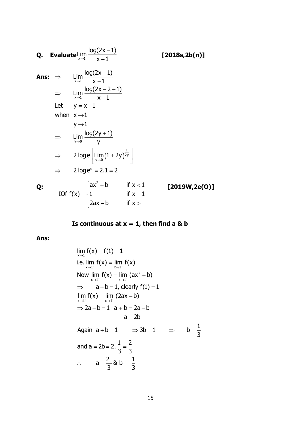**Q. Evaluate** 
$$
\lim_{x \to 1} \frac{\log(2x - 1)}{x - 1}
$$
 [2018s,2b(n)]  
\n**Ans:**  $\Rightarrow \lim_{x \to 1} \frac{\log(2x - 1)}{x - 1}$  [2018s,2b(n)]  
\n $\Rightarrow \lim_{x \to 1} \frac{\log(2x - 2 + 1)}{x - 1}$   
\nLet  $y = x - 1$   
\nwhen  $x \to 1$   
\n $y \to 1$   
\n $\Rightarrow \lim_{y \to 0} \frac{\log(2y + 1)}{y}$   
\n $\Rightarrow 2 \log e \left[ \lim_{y \to 0} (1 + 2y)^{\frac{1}{2y}} \right]$   
\n $\Rightarrow 2 \log e^e = 2.1 = 2$   
\n**Q:** If  $x < 1$  [2019W,2e(0)]  
\nIf  $x < 1$   
\n2ax - b if  $x < 1$ 

 **Is continuous at**  $x = 1$ **, then find a & b** 

**Ans:** 

$$
\lim_{x \to 1} f(x) = f(1) = 1
$$
\ni.e.  $\lim_{x \to 1^{-}} f(x) = \lim_{x \to 1^{+}} f(x)$ 

\nNow  $\lim_{x \to 1^{-}} f(x) = \lim_{x \to 1^{-}} (ax^{2} + b)$ 

\n $\Rightarrow a + b = 1, \text{ clearly } f(1) = 1$ 

\n $\lim_{x \to 1^{+}} f(x) = \lim_{x \to 1^{+}} (2ax - b)$ 

\n $\Rightarrow 2a - b = 1 \quad a + b = 2a - b$ 

\n $a = 2b$ 

\nAgain  $a + b = 1 \quad \Rightarrow 3b = 1 \quad \Rightarrow \quad b = \frac{1}{3}$ 

\nand  $a = 2b = 2, \frac{1}{3} = \frac{2}{3}$ 

\n $\therefore a = \frac{2}{3} \& b = \frac{1}{3}$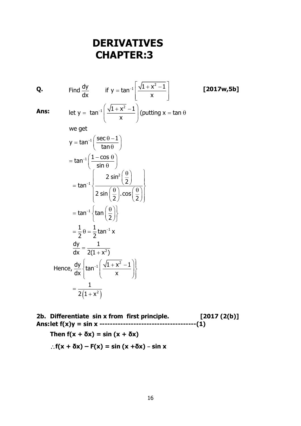# **DERIVATIVES CHAPTER:3**

**Q.** Find  $\frac{dy}{dx}$  if y = tan<sup>-1</sup>  $\left[\frac{\sqrt{1+x^2-1}}{x}\right]$  [2017w,5b] **Ans:** let y =  $\tan^{-1}\left(\frac{\sqrt{1+x^2}-1}{x}\right)$  (putting x = tan  $y = tan^{-1} \left( \frac{sec \theta - 1}{tan \theta} \right)$  $\tan^{-1}\left( \frac{1-\cos}{2}\right)$ we get  $=$  tan $^{-1}$  $\left( \frac{1-\cos\,\theta}{\sin\,\theta}\right)$ Ξ,  $=$  tan<sup>-1</sup> $\left( \frac{\sec \theta -1}{\tan \theta}\right)$  $\begin{bmatrix} & & x & \end{bmatrix}$ =  $\tan^{-1}\left(\frac{\sqrt{1+x^2}-1}{x}\right)$  (putting x =  $\tan \theta$  $(1 + x^2)$ 2 1 tan $^{-1}\!\nmid$ tan  $\frac{1}{1}-\theta=\frac{1}{\pi}$ tan $^{-1}$  x 2 Hence,  $\frac{dy}{dx} \left\{ \tan^{-1} \left( \frac{\sqrt{1 + x^2} - 1}{x} \right) \right\}$ 2 sin 2 tan 2 sin  $\mid \stackrel{\scriptscriptstyle\backsim}{-}\mid$  . cos 2 / 2  $=$  tan $^{-1}\left\{\tan\left(\frac{\theta}{2}\right)\right\}$  $=\frac{1}{2}\theta=\frac{1}{2}$ tan<sup>-1</sup> dy 1  $\frac{1}{dx} = \frac{1}{2(1 + x^2)}$ 1  $=\frac{2(1+x)}{2}$ Ξ.  $\begin{pmatrix} 0 & 1 \\ 0 & 0 \end{pmatrix}$  $=$  tan<sup>-1</sup> $\left\{\frac{2 \sin^2\left(\frac{1}{2}\right)}{2 \sin\left(\frac{\theta}{2}\right) \cdot \cos\left(\frac{\theta}{2}\right)}\right\}$  $\begin{pmatrix} x \\ y \end{pmatrix}$ 

**2b. Differentiate sin x from first principle. [2017 (2(b)] Ans:let f(x)y = sin x -------------------------------------(1)** Then  $f(x + \delta x) = \sin (x + \delta x)$  $f(x + \delta x) - F(x) = \sin (x + \delta x) - \sin x$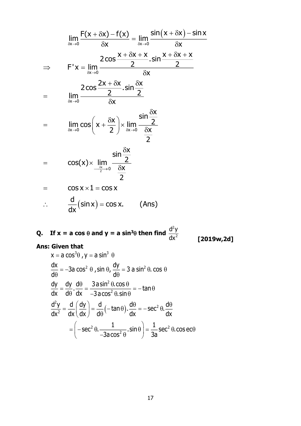$$
\lim_{\delta x \to 0} \frac{F(x + \delta x) - f(x)}{\delta x} = \lim_{\delta x \to 0} \frac{\sin(x + \delta x) - \sin x}{\delta x}
$$
\n
$$
\Rightarrow F'x = \lim_{\delta x \to 0} \frac{2 \cos \frac{x + \delta x + x}{2} \cdot \sin \frac{x + \delta x + x}{2}}{\delta x}
$$
\n
$$
= \lim_{\delta x \to 0} \frac{2 \cos \frac{2x + \delta x}{2} \cdot \sin \frac{\delta x}{2}}{\delta x}
$$
\n
$$
= \lim_{\delta x \to 0} \cos \left(x + \frac{\delta x}{2}\right) \times \lim_{\delta x \to 0} \frac{\sin \frac{\delta x}{2}}{\frac{\delta x}{2}}
$$
\n
$$
= \cos(x) \times \lim_{\delta x \to 0} \frac{\sin \frac{\delta x}{2}}{\frac{\delta x}{2}}
$$
\n
$$
= \cos x \times 1 = \cos x
$$
\n
$$
\therefore \frac{d}{dx}(\sin x) = \cos x. \quad \text{(Ans)}
$$

Q. If 
$$
x = a \cos \theta
$$
 and  $y = a \sin^3 \theta$  then find  $\frac{d^2y}{dx^2}$ 

**Ans: Given that** 

 $[2019w, 2d]$ 

$$
x = a \cos^{3}\theta, y = a \sin^{3} \theta
$$
\n
$$
\frac{dx}{d\theta} = -3a \cos^{2} \theta, \sin \theta, \frac{dy}{d\theta} = 3 a \sin^{2} \theta, \cos \theta
$$
\n
$$
\frac{dy}{dx} = \frac{dy}{d\theta} \cdot \frac{d\theta}{dx} = \frac{3a \sin^{2} \theta \cdot \cos \theta}{-3a \cos^{2} \theta \cdot \sin \theta} = -\tan \theta
$$
\n
$$
\frac{d^{2}y}{dx^{2}} = \frac{d}{dx} \left(\frac{dy}{dx}\right) = \frac{d}{d\theta} \left(-\tan \theta\right) \cdot \frac{d\theta}{dx} = -\sec^{2} \theta \cdot \frac{d\theta}{dx}
$$
\n
$$
= \left(-\sec^{2} \theta \cdot \frac{1}{-3a \cos^{2} \theta} \cdot \sin \theta\right) = \frac{1}{3a} \sec^{2} \theta \cdot \cos \theta
$$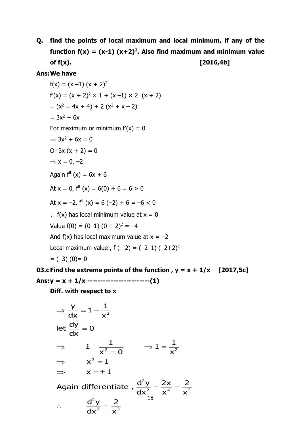**Q. find the points of local maximum and local minimum, if any of the**  function  $f(x) = (x-1)(x+2)^2$ . Also find maximum and minimum value **of f(x). [2016,4b]**

### **Ans:We have**

$$
f(x) = (x - 1) (x + 2)^2
$$
  
\n
$$
f'(x) = (x + 2)^2 \times 1 + (x - 1) \times 2 (x + 2)
$$
  
\n
$$
= (x^2 = 4x + 4) + 2 (x^2 + x - 2)
$$
  
\n
$$
= 3x^2 + 6x
$$
  
\nFor maximum or minimum  $f'(x) = 0$   
\n
$$
\Rightarrow 3x^2 + 6x = 0
$$
  
\nOr 3x (x + 2) = 0  
\n
$$
\Rightarrow x = 0, -2
$$
  
\nAgain  $f''(x) = 6x + 6$   
\nAt x = 0,  $f''(x) = 6(0) + 6 = 6 > 0$   
\nAt x = -2,  $f''(x) = 6(-2) + 6 = -6 < 0$   
\n∴  $f(x)$  has local minimum value at x = 0  
\nValue  $f(0) = (0-1) (0 + 2)^2 = -4$   
\nAnd  $f(x)$  has local maximum value at x = -2  
\nLocal maximum value,  $f(-2) = (-2-1) (-2+2)^2$   
\n
$$
= (-3) (0) = 0
$$

**03.cFind the extreme points of the function , y = x + 1/x [2017,5c] Ans:y = x + 1/x ------------------------(1)**

**Diff. with respect to x**

$$
\Rightarrow \frac{y}{dx} = 1 - \frac{1}{x^2}
$$
\n
$$
\text{let } \frac{dy}{dx} = 0
$$
\n
$$
\Rightarrow \quad 1 - \frac{1}{x^2 = 0} \quad \Rightarrow 1 = \frac{1}{x^2}
$$
\n
$$
\Rightarrow \quad x^2 = 1
$$
\n
$$
\Rightarrow \quad x = \pm 1
$$
\n
$$
\text{Again differentiate } , \frac{d^2y}{dx^2} = \frac{2x}{x^4} = \frac{2}{x^3}
$$
\n
$$
\therefore \quad \frac{d^2y}{dx^2} = \frac{2}{x^3}
$$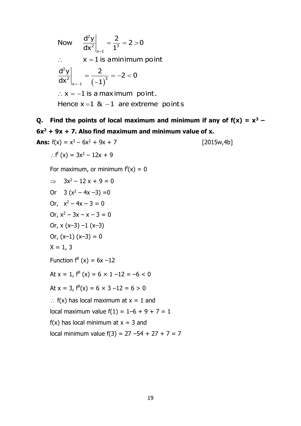$\left( -1\right)$ 2 2 3  $x = 1$ 2 2 (  $\rightarrow$  3  $x = -1$ Now  $\frac{d^2y}{dx^2} = \frac{2}{x^2} = 2 > 0$  $\left.\mathsf{dx}^{\mathsf{2}}\right|_{\mathsf{x}=\mathsf{1}} \quad 1$  $\therefore$   $\mathsf{x} = \mathsf{1}$  is aminimum point  $\frac{d^2y}{dx^2} = \frac{2}{x^2} = -2 < 0$  $\left. \mathsf{dx}^{\mathsf{2}}\right\vert _{\mathsf{x}=-1} \quad (-1)$  $\therefore$  x =  $-1$  is a maximum  $\,$  point. Hence x =1  $\,$  &  $\,$  -1  $\,$  are extreme  $\,$  point s  $\,$  $= -\frac{1}{2} = 2 >$ = ——\_\_ = -2 < Ξ

**Q.** Find the points of local maximum and minimum if any of  $f(x) = x^3 -$ **6x<sup>2</sup> + 9x + 7. Also find maximum and minimum value of x.**

Ans: 
$$
f(x) = x^3 - 6x^2 + 9x + 7
$$
 [2015w,4b]

\n∴  $f'(x) = 3x^2 - 12x + 9$ 

\nFor maximum, or minimum  $f'(x) = 0$ 

\n⇒  $3x^2 - 12x + 9 = 0$ 

\nOr  $3(x^2 - 4x - 3) = 0$ 

\nOr,  $x^2 - 3x - x - 3 = 0$ 

\nOr,  $x(x-3) - 1(x-3)$ 

\nOr,  $(x-1)(x-3) = 0$ 

\n× = 1, 3

\nFunction  $f''(x) = 6x - 12$ 

\nAt  $x = 1$ ,  $f''(x) = 6 \times 1 - 12 = -6 < 0$ 

\nAt  $x = 3$ ,  $f''(x) = 6 \times 3 - 12 = 6 > 0$ 

\n∴  $f(x)$  has local maximum at  $x = 1$  and local maximum value  $f(1) = 1 - 6 + 9 + 7 = 1$ 

\n $f(x)$  has local minimum at  $x = 3$  and local minimum value  $f(3) = 27 - 54 + 27 + 7 = 7$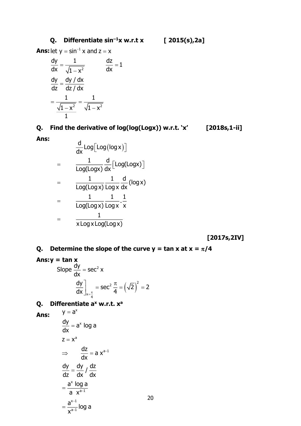## **Q. Differentiate sin–<sup>1</sup>x w.r.t x [ 2015(s),2a]**

**Ans:** let  $y = sin^{-1} x$  and  $z = x$ 

$$
\frac{dy}{dx} = \frac{1}{\sqrt{1 - x^2}}
$$
\n
$$
\frac{dy}{dz} = \frac{dy / dx}{dz / dx}
$$
\n
$$
= \frac{1}{\frac{\sqrt{1 - x^2}}{1}} = \frac{1}{\sqrt{1 - x^2}}
$$

**Q. Find the derivative of log(log(Logx)) w.r.t. 'x' [2018s,1-ii]**

**Ans:**

$$
\frac{d}{dx} Log[Log(logx)]
$$
\n
$$
= \frac{1}{Log(logx)} \frac{d}{dx} [Log(logx)]
$$
\n
$$
= \frac{1}{Log(logx)} \frac{1}{Logx} \frac{d}{dx} (logx)
$$
\n
$$
= \frac{1}{Log(logx)} \frac{1}{Logx} \cdot \frac{1}{x}
$$
\n
$$
= \frac{1}{x LogxLog(logx)}
$$

 **[2017s,2IV]**

**Q.** Determine the slope of the curve  $y = \tan x$  at  $x = \pi/4$ 

**Ans: 
$$
y = \tan x
$$**  
\nSlope  $\frac{dy}{dx} = \sec^2 x$   
\n
$$
\frac{dy}{dx}\bigg|_{x = \frac{\pi}{4}} = \sec^2 \frac{\pi}{4} = (\sqrt{2})^2 = 2
$$

## **Q. Differentiate a<sup>x</sup> w.r.t. x<sup>a</sup>**

 $y = a^x$ 

**Ans:**

$$
\frac{dy}{dx} = a^{x} \log a
$$
  
\n
$$
z = x^{a}
$$
  
\n
$$
\Rightarrow \quad \frac{dz}{dx} = a x^{a-1}
$$
  
\n
$$
\frac{dy}{dz} = \frac{dy}{dx} / \frac{dz}{dx}
$$
  
\n
$$
= \frac{a^{x} \log a}{a x^{a-1}}
$$
  
\n
$$
= \frac{a^{x-1}}{x^{a-1}} \log a
$$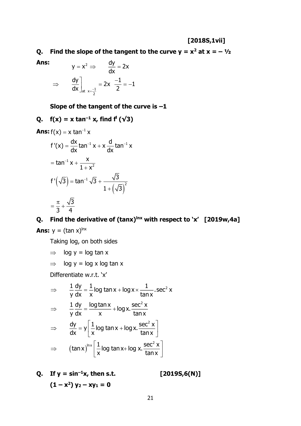### **[2018S,1vii]**

**Q.** Find the slope of the tangent to the curve  $y = x^2$  at  $x = -\frac{1}{2}$ 

**Ans:**

$$
y = x^2 \implies \frac{dy}{dx} = 2x
$$
  

$$
\implies \frac{dy}{dx}\bigg|_{at \ x = \frac{-1}{2}} = 2x \frac{-1}{2} = -1
$$

**Slope of the tangent of the curve is –1**

Q. 
$$
f(x) = x \tan^{-1} x
$$
, find  $f'(\sqrt{3})$ 

Ans: 
$$
f(x) = x \tan^{-1} x
$$
  
\n $f'(x) = \frac{dx}{dx} \tan^{-1} x + x \frac{d}{dx} \tan^{-1} x$   
\n $= \tan^{-1} x + \frac{x}{1 + x^2}$   
\n $f'(\sqrt{3}) = \tan^{-1} \sqrt{3} + \frac{\sqrt{3}}{1 + (\sqrt{3})^2}$   
\n $= \frac{\pi}{3} + \frac{\sqrt{3}}{4}$ 

### **Q. Find the derivative of (tanx)lnx with respect to 'x' [2019w,4a]**

**Ans:**  $y = (\tan x)^{\ln x}$ 

Taking log, on both sides

- $\Rightarrow$  log y = log tan x
- $\Rightarrow$  log y = log x log tan x

Differentiate w.r.t. 'x'

$$
\Rightarrow \frac{1}{y} \frac{dy}{dx} = \frac{1}{x} \log \tan x + \log x \times \frac{1}{\tan x} \cdot \sec^2 x
$$
  

$$
\Rightarrow \frac{1}{y} \frac{dy}{dx} = \frac{\log \tan x}{x} + \log x \cdot \frac{\sec^2 x}{\tan x}
$$
  

$$
\Rightarrow \frac{dy}{dx} = y \left[ \frac{1}{x} \log \tan x + \log x \cdot \frac{\sec^2 x}{\tan x} \right]
$$
  

$$
\Rightarrow (\tan x)^{\ln x} \left[ \frac{1}{x} \log \tan x + \log x \cdot \frac{\sec^2 x}{\tan x} \right]
$$

**Q. If**  $y = \sin^{-1}x$ , then s.t. [2019S,6(N)]  $(1 - x^2) y_2 - xy_1 = 0$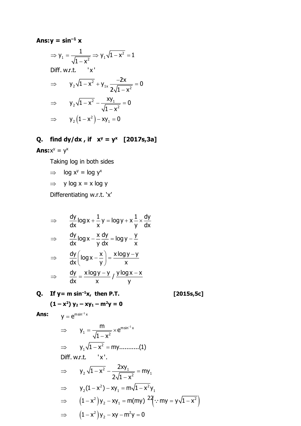## Ans: $y = \sin^{-1} x$

$$
\Rightarrow y_1 = \frac{1}{\sqrt{1 - x^2}} \Rightarrow y_1 \sqrt{1 - x^2} = 1
$$
  
Diff. w.r.t. 'x'  

$$
\Rightarrow y_2 \sqrt{1 - x^2} + y_{1x} \frac{-2x}{2\sqrt{1 - x^2}} = 0
$$

$$
\Rightarrow y_2 \sqrt{1 - x^2} - \frac{xy_1}{\sqrt{1 - x^2}} = 0
$$

$$
\Rightarrow y_2 (1 - x^2) - xy_1 = 0
$$

## Q. find dy/dx, if  $x^y = y^x$  [2017s,3a]

## **Ans:** $x^y = y^x$

Taking log in both sides

$$
\Rightarrow \quad \log x^y = \log y^x
$$

 $\Rightarrow$  y log x = x log y

Differentiating w.r.t. 'x'

$$
\Rightarrow \frac{dy}{dx} \log x + \frac{1}{x} y = \log y + x \frac{1}{y} \times \frac{dy}{dx}
$$
  

$$
\Rightarrow \frac{dy}{dx} \log x - \frac{x}{y} \frac{dy}{dx} = \log y - \frac{y}{x}
$$
  

$$
\Rightarrow \frac{dy}{dx} \left( \log x - \frac{x}{y} \right) = \frac{x \log y - y}{x}
$$
  

$$
\Rightarrow \frac{dy}{dx} = \frac{x \log y - y}{x} / \frac{y \log x - x}{y}
$$

Q. If  $y = m \sin^{-1}x$ , then P.T.

 $y = e^{m sin^{-1} x}$ 

 $[2015s, 5c]$ 

$$
(1-x^2) y_2 - xy_1 - m^2y = 0
$$

⇒ 
$$
y_1 = \frac{m}{\sqrt{1 - x^2}} \times e^{m \sin^{-1} x}
$$
  
\n⇒  $y_1 \sqrt{1 - x^2} = my........(1)$   
\nDiff. w.r.t. 'x'.  
\n⇒  $y_2 \sqrt{1 - x^2} - \frac{2xy_1}{2\sqrt{1 - x^2}} = my_1$   
\n⇒  $y_2(1 - x^2) - xy_1 = m\sqrt{1 - x^2}y_1$   
\n⇒  $(1 - x^2)y_2 - xy_1 = m(my)^{2}(\frac{2}{3} \because my = y\sqrt{1 - x^2})$   
\n⇒  $(1 - x^2)y_2 - xy - m^2y = 0$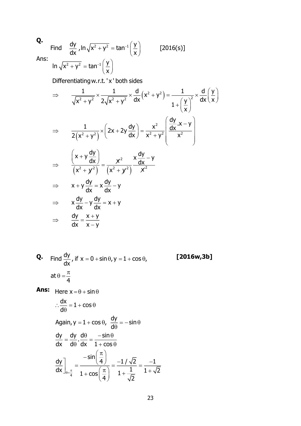# **Q.**

Ans:<br>  $\ln \sqrt{x^2 + y^2} = \tan^{-1} \left( \frac{y}{x} \right)$ Find  $\frac{dy}{dx}$ ,  $\ln \sqrt{x^2 + y^2} = \tan^{-1} \left(\frac{y}{x}\right)$  [2016(s)]  $+y^2 = \tan^{-1}\left(\frac{y}{x}\right)$  $_{-1}(y)$  $+y^2 = \tan^{-1}\left(\frac{y}{x}\right)$ 

Differentiatingw.r.t. ' x ' both sides

$$
\Rightarrow \frac{1}{\sqrt{x^2 + y^2}} \times \frac{1}{2\sqrt{x^2 + y^2}} \times \frac{d}{dx} (x^2 + y^2) = \frac{1}{1 + (\frac{y}{x})^2} \times \frac{d}{dx} (\frac{y}{x})
$$
  
\n
$$
\Rightarrow \frac{1}{2(x^2 + y^2)} \times (2x + 2y \frac{dy}{dx}) = \frac{x^2}{x^2 + y^2} (\frac{dy}{dx} \cdot x - y)
$$
  
\n
$$
\Rightarrow \frac{(x + y \frac{dy}{dx})}{(x^2 + y^2)} = \frac{x^2}{(x^2 + y^2)} \times \frac{dy}{dx} - y
$$
  
\n
$$
\Rightarrow x + y \frac{dy}{dx} = x \frac{dy}{dx} - y
$$
  
\n
$$
\Rightarrow x \frac{dy}{dx} - y \frac{dy}{dx} = x + y
$$
  
\n
$$
\Rightarrow \frac{dy}{dx} = \frac{x + y}{x - y}
$$

**Q.** Find 
$$
\frac{dy}{dx}
$$
, if  $x = 0 + \sin \theta$ ,  $y = 1 + \cos \theta$ ,  
at  $\theta = \frac{\pi}{4}$ 

**Ans:** Here 
$$
x = \theta + \sin \theta
$$
  
\n
$$
\therefore \frac{dx}{d\theta} = 1 + \cos \theta
$$
\nAgain,  $y = 1 + \cos \theta$ ,  $\frac{dy}{d\theta} = -\sin \theta$   
\n
$$
\frac{dy}{dx} = \frac{dy}{d\theta} \cdot \frac{d\theta}{dx} = \frac{-\sin \theta}{1 + \cos \theta}
$$
\n
$$
\frac{dy}{dx}\Big|_{\theta = \frac{\pi}{4}} = \frac{-\sin(\frac{\pi}{4})}{1 + \cos(\frac{\pi}{4})} = \frac{-1/\sqrt{2}}{1 + \sqrt{2}} = \frac{-1}{1 + \sqrt{2}}
$$

**Q. [2016w,3b]**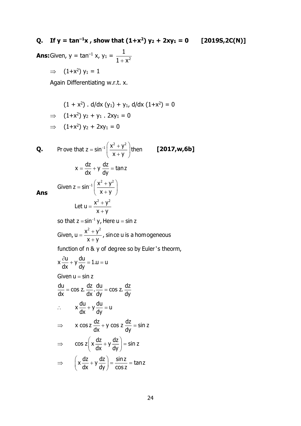## Q. If  $y = \tan^{-1}x$ , show that  $(1+x^2) y_2 + 2xy_1 = 0$  [2019S,2C(N)]

**Ans:** Given,  $y = \tan^{-1} x$ ,  $y_1 = \frac{1}{1 + x^2}$ 

 $\Rightarrow$   $(1+x^2)$  y<sub>1</sub> = 1

Again Differentiating w.r.t. x.

$$
(1 + x2) \cdot d/dx (y1) + y1, d/dx (1+x2) = 0
$$
  
\n
$$
\Rightarrow (1+x2) y2 + y1 \cdot 2xy1 = 0
$$
  
\n
$$
\Rightarrow (1+x2) y2 + 2xy1 = 0
$$

**Q.** Prove that 
$$
z = \sin^{-1} \left( \frac{x^2 + y^2}{x + y} \right)
$$
 then **[2017,w,6b]**  
\n
$$
x = \frac{dz}{dx} + y \frac{dz}{dy} = \tan z
$$
\nGiven  $z = \sin^{-1} \left( \frac{x^2 + y^2}{x + y} \right)$   
\nLet  $u = \frac{x^2 + y^2}{x + y}$   
\nso that  $z = \sin^{-1} y$ , Here  $u = \sin z$ 

so that 
$$
z = \sin^{-1} y
$$
, Here  $u = \sin z$   
Given,  $u = \frac{x^2 + y^2}{x + y}$ , since u is a homogeneous

function of n & y of degree so by Euler's theorm,

$$
x \frac{\partial u}{\partial x} + y \frac{du}{dy} = 1.u = u
$$
  
Given  $u = \sin z$   

$$
\frac{du}{dx} = \cos z. \frac{dz}{dx}. \frac{du}{dy} = \cos z. \frac{dz}{dy}
$$

$$
\therefore \qquad x \frac{du}{dx} + y \frac{du}{dy} = u
$$

$$
\Rightarrow \qquad x \cos z \frac{dz}{dx} + y \cos z \frac{dz}{dy} = \sin z
$$

$$
\Rightarrow \qquad \cos z \left( x \frac{dz}{dx} + y \frac{dz}{dy} \right) = \sin z
$$

$$
\Rightarrow \qquad \left( x \frac{dz}{dx} + y \frac{dz}{dy} \right) = \frac{\sin z}{\cos z} = \tan z
$$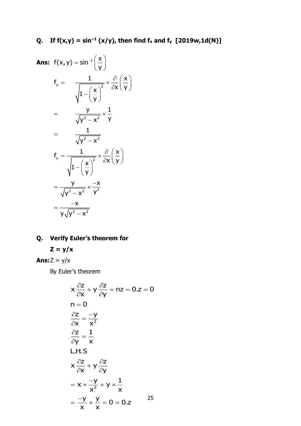**Ans:** 
$$
f(x,y) = \sin^{-1}\left(\frac{x}{y}\right)
$$
  
\n
$$
f_x = \frac{1}{\sqrt{1-\left(\frac{x}{y}\right)^2}} \times \frac{\partial}{\partial x}\left(\frac{x}{y}\right)
$$
\n
$$
= \frac{y}{\sqrt{y^2 - x^2}} \times \frac{1}{y}
$$
\n
$$
= \frac{1}{\sqrt{y^2 - x^2}}
$$
\n
$$
f_y = \frac{1}{\sqrt{1-\left(\frac{x}{y}\right)^2}} \times \frac{\partial}{\partial x}\left(\frac{x}{y}\right)
$$
\n
$$
= \frac{y}{\sqrt{y^2 - x^2}} \times \frac{-x}{y^2}
$$
\n
$$
= \frac{-x}{y\sqrt{y^2 - x^2}}
$$

## Q. Verify Euler's theorem for

$$
Z = y/x
$$

**Ans:** $Z = y/x$ 

By Euler's theorem

$$
x \frac{\partial z}{\partial x} + y \frac{\partial z}{\partial y} = nz = 0.z = 0
$$
  
\nn = 0  
\n
$$
\frac{\partial z}{\partial x} = \frac{-y}{x^2}
$$
  
\n
$$
\frac{\partial z}{\partial y} = \frac{1}{x}
$$
  
\nL.H.S  
\n
$$
x \frac{\partial z}{\partial x} + y \frac{\partial z}{\partial y}
$$
  
\n
$$
= x \times \frac{-y}{x^2} + y \times \frac{1}{x}
$$
  
\n
$$
= \frac{-y}{x} + \frac{y}{x} = 0 = 0.z
$$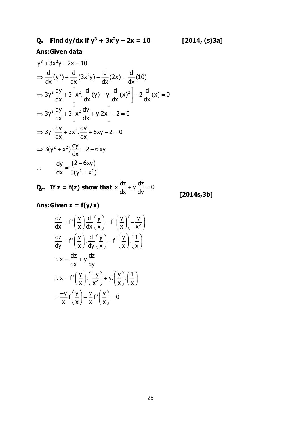# **Q. Find dy/dx if**  $y^3 + 3x^2y - 2x = 10$  **[2014, (s)3a]**

## **Ans:Given data**

$$
y^{3} + 3x^{2}y - 2x = 10
$$
  
\n
$$
\Rightarrow \frac{d}{dx}(y^{3}) + \frac{d}{dx}(3x^{2}y) - \frac{d}{dx}(2x) = \frac{d}{dx}(10)
$$
  
\n
$$
\Rightarrow 3y^{2} \frac{dy}{dx} + 3\left[x^{2} \cdot \frac{d}{dx}(y) + y \cdot \frac{d}{dx}(x)^{2}\right] - 2\frac{d}{dx}(x) = 0
$$
  
\n
$$
\Rightarrow 3y^{2} \frac{dy}{dx} + 3\left[x^{2} \frac{dy}{dx} + y \cdot 2x\right] - 2 = 0
$$
  
\n
$$
\Rightarrow 3y^{2} \frac{dy}{dx} + 3x^{2} \cdot \frac{dy}{dx} + 6xy - 2 = 0
$$
  
\n
$$
\Rightarrow 3(y^{2} + x^{2}) \frac{dy}{dx} = 2 - 6xy
$$
  
\n
$$
\therefore \frac{dy}{dx} = \frac{(2 - 6xy)}{3(y^{2} + x^{2})}
$$

**Q,.** If  $z = f(z)$  show that  $x \frac{dz}{dx} + y \frac{dz}{dx} = 0$  $\frac{1}{\mathrm{dx}} + \mathrm{y} \frac{1}{\mathrm{dy}} =$ 

 **[2014s,3b]**

**Ans:Given z = f(y/x)**

$$
\frac{dz}{dx} = f'\left(\frac{y}{x}\right)\frac{d}{dx}\left(\frac{y}{x}\right) = f'\left(\frac{y}{x}\right)\left(-\frac{y}{x^2}\right)
$$
\n
$$
\frac{dz}{dy} = f'\left(\frac{y}{x}\right)\cdot\frac{d}{dy}\left(\frac{y}{x}\right) = f'\left(\frac{y}{x}\right)\cdot\left(\frac{1}{x}\right)
$$
\n
$$
\therefore x = \frac{dz}{dx} + y\frac{dz}{dy}
$$
\n
$$
\therefore x = f'\left(\frac{y}{x}\right)\cdot\left(\frac{-y}{x^2}\right) + y\cdot\left(\frac{y}{x}\right)\cdot\left(\frac{1}{x}\right)
$$
\n
$$
= \frac{-y}{x}f\left(\frac{y}{x}\right) + \frac{y}{x}f'\left(\frac{y}{x}\right) = 0
$$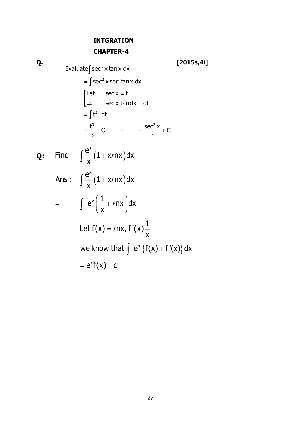## **INTGRATION**

## **CHAPTER-4**

 $Q.$  Evaluate  $\int \sec^3 x \tan x \ dx$  [2015s,4i]  $=\int \sec^2 x \sec \tan x \ dx$  $=\int t^2 dt$  $\frac{t^3}{2} + C$  =  $\frac{\sec^3 x}{2} + C$ Let sec.x = t sec  ${\mathsf x}$  tand ${\mathsf x}$  = dt  $=\frac{1}{3}$  + C  $=\frac{1}{3}$  +  $\lceil$  Let sec x =  $\mathsf{I}$  $\left\lfloor \Rightarrow \right\rceil$  sec x tandx =

**Q:** Find 
$$
\int \frac{e^x}{x} (1 + x \ell nx) dx
$$

Ans: 
$$
\int \frac{e^{x}}{x} (1 + x \ell nx) dx
$$
  
\n
$$
= \int e^{x} \left( \frac{1}{x} + \ell nx \right) dx
$$
  
\nLet  $f(x) = \ell nx$ ,  $f'(x) \frac{1}{x}$   
\nwe know that  $\int e^{x} \{f(x) + f'(x)\} dx$   
\n
$$
= e^{x}f(x) + c
$$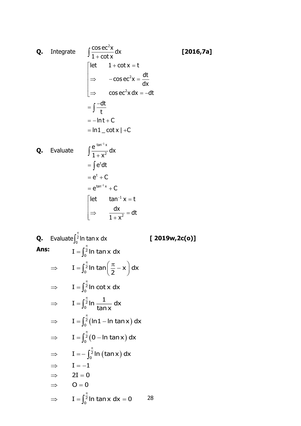**Q.** Integrate

\n
$$
\int \frac{\cos ec^{2}x}{1+cot x} dx
$$
\n
$$
\begin{vmatrix}\n\det 1+cot x = t \\
\Rightarrow -cos ec^{2}x dx = -dt \\
\Rightarrow -cos ec^{2}x dx = -dt\n\end{vmatrix}
$$
\n
$$
= \int \frac{-dt}{t}
$$
\n
$$
= -\ln t + C
$$
\n
$$
= \ln 1 - cot x + C
$$
\n**Q.** Evaluate

\n
$$
\int \frac{e^{t} \tan^{-1}x}{1+x^{2}} dx
$$
\n
$$
= \int e^{t} dt
$$
\n
$$
= e^{t} + C
$$
\n
$$
= e^{t} + C
$$
\n
$$
= e^{t} + C
$$
\n
$$
= e^{t} + C
$$
\n
$$
= e^{t} + C
$$
\n
$$
= e^{t} + C
$$
\n
$$
= e^{t} + C
$$
\n
$$
= e^{t} + C
$$
\n
$$
= e^{t} + C
$$
\n
$$
= e^{t} + C
$$
\n
$$
= e^{t} + C
$$
\n
$$
= e^{t} + C
$$
\n
$$
= e^{t} + C
$$
\n
$$
= e^{t} + C
$$
\n
$$
= e^{t} + C
$$
\n
$$
= e^{t} + C
$$
\n
$$
= e^{t} + C
$$
\n
$$
= e^{t} + C
$$
\n
$$
= e^{t} + C
$$
\n
$$
= e^{t} + C
$$
\n
$$
= e^{t} + C
$$
\n
$$
= e^{t} + C
$$
\n
$$
= e^{t} + C
$$
\n
$$
= e^{t} + C
$$
\n
$$
= e^{t} + C
$$
\n
$$
= e^{t} + C
$$
\n
$$
= e^{t} + C
$$
\n
$$
= e^{t} + C
$$
\n
$$
= e^{t} + C
$$
\n
$$
= e^{t} + C
$$
\n
$$
= e^{t} + C
$$
\n
$$
= e^{t} + C
$$
\n $$ 

2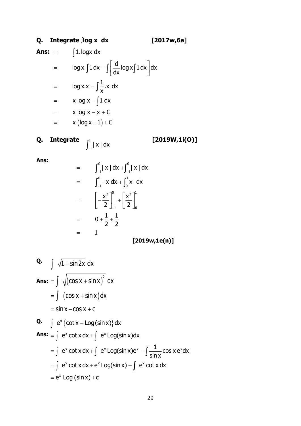## **Q. Integrate log x dx [2017w,6a]**

**Ans:** 1.logx dx

$$
= \log x \int 1 dx - \int \left[ \frac{d}{dx} \log x \int 1 dx \right] dx
$$
  

$$
= \log x \cdot x - \int \frac{1}{x} \cdot x dx
$$
  

$$
= x \log x - \int 1 dx
$$
  

$$
= x \log x - x + C
$$
  

$$
= x (\log x - 1) + C
$$

**Q. Integrate [2019W,1i(O)]** 1  $\int_{-1}^{1} |x| dx$ 

**Ans:**

$$
= \int_{-1}^{0} |x| dx + \int_{-1}^{0} |x| dx
$$
  
\n
$$
= \int_{-1}^{0} -x dx + \int_{0}^{1} x dx
$$
  
\n
$$
= \left[ -\frac{x^{2}}{2} \right]_{-1}^{0} + \left[ \frac{x^{2}}{2} \right]_{0}^{1}
$$
  
\n
$$
= 0 + \frac{1}{2} + \frac{1}{2}
$$
  
\n
$$
= 1
$$
  
\n[2019w,1e(n)]

**Q.** 
$$
\int \sqrt{1 + \sin 2x} \, dx
$$

\n**Ans:** 
$$
= \int \sqrt{(\cos x + \sin x)^2} \, dx
$$

\n
$$
= \int (\cos x + \sin x) \, dx
$$

\n
$$
= \sin x - \cos x + c
$$

\n**Q.** 
$$
\int e^x \{ \cot x + \log(\sin x) \} \, dx
$$

\n**Ans:** 
$$
= \int e^x \cot x \, dx + \int e^x \log(\sin x) \, dx
$$

\n
$$
= \int e^x \cot x \, dx + \int e^x \log(\sin x) \, dx - \int \frac{1}{\sin x} \cos x \, e^x \, dx
$$

\n
$$
= \int e^x \cot x \, dx + e^x \log(\sin x) - \int e^x \cot x \, dx
$$

\n
$$
= e^x \log(\sin x) + c
$$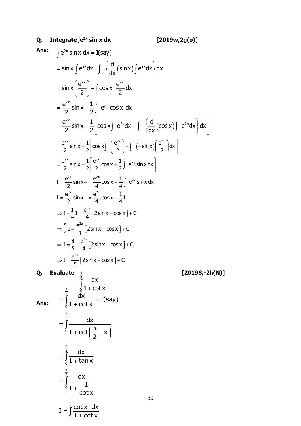# Q. Integrate  $\int e^{2x} \sin x \, dx$

Ans: 
$$
\int e^{2x} \sin x \, dx = I(\text{say})
$$
\n
$$
= \sin x \int e^{2x} dx - \int \left\{ \frac{d}{dx} (\sin x) \int e^{2x} dx \right\} dx
$$
\n
$$
= \sin x \left( \frac{e^{2x}}{2} \right) - \int \cos x \frac{e^{2x}}{2} dx
$$
\n
$$
= \frac{e^{2x}}{2} \sin x - \frac{1}{2} \int e^{2x} \cos x \, dx
$$
\n
$$
= \frac{e^{2x}}{2} \sin x - \frac{1}{2} \left[ \cos x \int e^{2x} dx - \int \left\{ \frac{d}{dx} (\cos x) \int e^{2x} dx \right\} dx \right]
$$
\n
$$
= \frac{e^{2x}}{2} \sin x - \frac{1}{2} \left[ \cos x \int \left( \frac{e^{2x}}{2} \right) - \int (-\sin x) \left( \frac{e^{2x}}{2} \right) dx \right]
$$
\n
$$
= \frac{e^{2x}}{2} \sin x - \frac{1}{2} \left[ \frac{e^{2x}}{2} \cos x + \frac{1}{2} \int e^{2x} \sin x \, dx \right]
$$
\n
$$
I = \frac{e^{2x}}{2} \sin x - \frac{e^{2x}}{4} \cos x - \frac{1}{4} I e^{2x} \sin x \, dx
$$
\n
$$
I = \frac{e^{2x}}{2} \sin x - \frac{e^{2x}}{4} \cos x - \frac{1}{4} I
$$
\n
$$
\Rightarrow I + \frac{1}{4} I = \frac{e^{2x}}{4} \left[ 2 \sin x - \cos x \right] + C
$$
\n
$$
\Rightarrow I = \frac{4}{5} \times \frac{e^{2x}}{4} \left[ 2 \sin x - \cos x \right] + C
$$
\n
$$
\Rightarrow I = \frac{4}{5} \times \frac{e^{2x}}{4} \left[ 2 \sin x - \cos x \right] + C
$$
\n
$$
\Rightarrow I = \frac{e^{2x}}{5} \left[ 2 \sin x - \cos x \right] + C
$$
\n
$$
\Rightarrow I = \frac{e^{2x}}{5} \left[ 2 \sin x - \cos x \right] + C
$$
\n<math display="</p>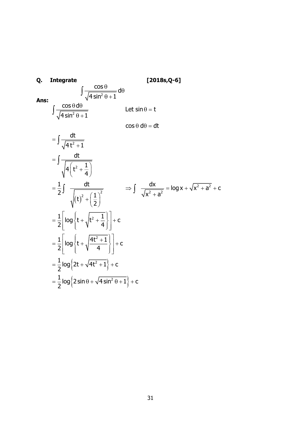Q. Integrate  
\n
$$
\int \frac{\cos \theta}{\sqrt{4 \sin^2 \theta + 1}} d\theta
$$
\nAns:  
\n
$$
\int \frac{\cos \theta d\theta}{\sqrt{4 \sin^2 \theta + 1}}
$$
\nLet  $\sin \theta = t$   
\n
$$
= \int \frac{dt}{\sqrt{4t^2 + 1}}
$$
\n
$$
= \int \frac{dt}{\sqrt{4(t^2 + \frac{1}{4})}}
$$
\n
$$
= \frac{1}{2} \int \frac{dt}{\sqrt{(t)^2 + (\frac{1}{2})^2}} \implies \int \frac{dx}{\sqrt{x^2 + a^2}} = \log x + \sqrt{x^2 + a^2} + c
$$
\n
$$
= \frac{1}{2} \left[ \log \left\{ t + \sqrt{t^2 + \frac{1}{4}} \right\} \right] + c
$$
\n
$$
= \frac{1}{2} \left[ \log \left\{ t + \sqrt{\frac{4t^2 + 1}{4}} \right\} \right] + c
$$
\n
$$
= \frac{1}{2} \log \left\{ 2t + \sqrt{4t^2 + 1} \right\} + c
$$
\n
$$
= \frac{1}{2} \log \left\{ 2 \sin \theta + \sqrt{4 \sin^2 \theta + 1} \right\} + c
$$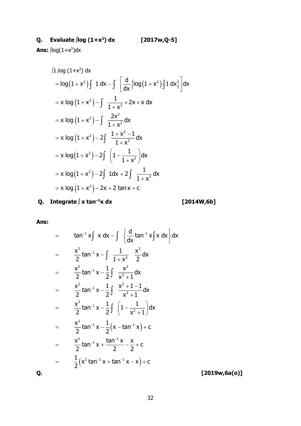**Ans:** ∫log(1+x<sup>2</sup>)dx

$$
\begin{aligned}\n\int 1.\log(1+x^2) \, dx \\
&= \log(1+x^2) \int 1 \, dx - \int \left[ \frac{d}{dx} \{ \log(1+x^2) \int 1 \, dx \} \right] dx \\
&= x \log(1+x^2) - \int \frac{1}{1+x^2} \times 2x \times x \, dx \\
&= x \log(1+x^2) - \int \frac{2x^2}{1+x^2} \, dx \\
&= x \log(1+x^2) - 2 \int \frac{1+x^2-1}{1+x^2} \, dx \\
&= x \log(1+x^2) - 2 \int \left(1 - \frac{1}{1+x^2}\right) dx \\
&= x \log(1+x^2) - 2 \int 1 \, dx + 2 \int \frac{1}{1+x^2} \, dx \\
&= x \log(1+x^2) - 2x + 2 \tan x + c\n\end{aligned}
$$

**Q. Integrate**  $\int x \tan^{-1}x \, dx$  [

$$
[2014W,6b]
$$

**Ans:**

$$
= \tan^{-1} x \int x dx - \int \left\{ \frac{d}{dx} \tan^{-1} x \int x dx \right\} dx
$$
  
\n
$$
= \frac{x^2}{2} \tan^{-1} x - \int \frac{1}{1+x^2} \frac{x^2}{2} dx
$$
  
\n
$$
= \frac{x^2}{2} \tan^{-1} x - \frac{1}{2} \int \frac{x^2}{x^2 + 1} dx
$$
  
\n
$$
= \frac{x^2}{2} \tan^{-1} x - \frac{1}{2} \int \frac{x^2 + 1 - 1}{x^2 + 1} dx
$$
  
\n
$$
= \frac{x^2}{2} \tan^{-1} x - \frac{1}{2} \int \left( 1 - \frac{1}{x^2 + 1} \right) dx
$$
  
\n
$$
= \frac{x^2}{2} \tan^{-1} x - \frac{1}{2} \left( x - \tan^{-1} x \right) + c
$$
  
\n
$$
= \frac{x^2}{2} \tan^{-1} x + \frac{\tan^{-1} x}{2} - \frac{x}{2} + c
$$
  
\n
$$
= \frac{1}{2} (x^2 \tan^{-1} x + \tan^{-1} x - x) + c
$$
 [2019w, 6a(o)]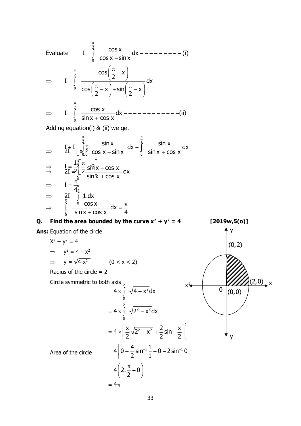Evaluate 
$$
I = \int_{0}^{\frac{\pi}{2}} \frac{\cos x}{\cos x + \sin x} dx
$$
 - - - - - - - - (i)  
\n $\Rightarrow I = \int_{0}^{\frac{\pi}{2}} \frac{\cos(\frac{\pi}{2} - x)}{\cos(\frac{\pi}{2} - x) + \sin(\frac{\pi}{2} - x)} dx$   
\n $\Rightarrow I = \int_{0}^{\frac{\pi}{2}} \frac{\cos x}{\sin x + \cos x} dx$  - - - - - - - - - - - - - (ii)  
\nAdding equation (i) & (ii) we get

Adding equation(i) & (ii) we get  
\n
$$
\Rightarrow \qquad \frac{1}{2} \pm \frac{1}{2} = \left[\frac{1}{2}\right]_{0}^{\frac{\pi}{2}} \frac{\sin x}{\cos x + \sin x} dx + \int_{0}^{\frac{\pi}{2}} \frac{\sin x}{\sin x + \cos x} dx
$$
\n
$$
\Rightarrow \qquad \frac{1}{2} \pm \frac{1}{2} \left[\frac{\pi}{2} \frac{\sin x}{\sin x + \cos x} dx\right]
$$
\n
$$
\Rightarrow \qquad \frac{1}{2} \pm \frac{\pi}{2} \left[\frac{\pi}{2} \frac{\sin x}{\sin x + \cos x} dx\right]
$$
\n
$$
\Rightarrow \qquad \frac{1}{2} \pm \frac{\pi}{2} \frac{\sin x}{\sin x + \cos x} dx = \frac{\pi}{4}
$$
\n
$$
\Rightarrow \qquad \int_{0}^{\frac{\pi}{2}} \frac{\cos x}{\sin x + \cos x} dx = \frac{\pi}{4}
$$

**Q.** Find the area bounded by the curve  $x^2 + y^2 = 4$  [2019w,5(o)] **Ans:** Equation of the circle  $X^2 + y^2 = 4$  $\Rightarrow$   $y^2 = 4 - x^2$  $\Rightarrow$  y =  $\sqrt{4-x^2}$  (0 < x < 2) Radius of the circle  $= 2$ Circle symmetric to both axis  $\frac{1}{2}$ Area of the circle y  $\boldsymbol{\mathsf{y}}^1$  $x^1$   $\frac{1}{2}$   $\frac{1}{2}$   $\frac{1}{2}$   $\frac{1}{2}$   $\frac{1}{2}$   $\frac{1}{2}$   $\frac{1}{2}$   $\frac{1}{2}$   $\frac{1}{2}$   $\frac{1}{2}$   $\frac{1}{2}$   $\frac{1}{2}$   $\frac{1}{2}$   $\frac{1}{2}$   $\frac{1}{2}$   $\frac{1}{2}$   $\frac{1}{2}$   $\frac{1}{2}$   $\frac{1}{2}$   $\frac{1}{2}$   $\frac{1}{2}$   $\frac{1$  $(0, 2)$  $\boxed{0}$   $(0,0)$ 2 2 2 2 2 2  $\ldots$ 2  $\leq$   $\leq$   $\ldots$ -1 0  $4\big|\,$  0  $+$   $\frac{4}{\,}$  sin $^{-1}$   $\frac{1}{\,}-$  0  $-$  2 sin $^{-1}$  0  $= 4 \times \int \sqrt{4-x^2} dx$  $= 4 \times \int \sqrt{2^2 - x^2} dx$  $4 \times \left( \frac{x}{2} \sqrt{2^2 - x^2} + \frac{2}{\sqrt{2}} \sin^{-1} \frac{x}{2} \right)$  $\left[\frac{x}{2}\sqrt{2^2-x^2}+\frac{2}{2}\sin^{-1}\frac{x}{2}\right]$  $\left\lceil 0 + \frac{4}{2} \sin^{-1} \frac{1}{1} - 0 - 2 \sin^{-1} 0 \right\rceil$ 4 2. 0 2  $=4\pi$  $=4\times\left[\frac{1}{2}\sqrt{2} - x^2 + \frac{1}{2}\sin^{-1}\frac{1}{2}\right]$  $= 4\left[0+\frac{1}{2}\sin^{-1}\frac{1}{2}-0-2\sin^{-1}0\right]$  $\left( \cdot \right)$   $\pi$   $\left( \cdot \right)$  $= 4(2.\frac{3}{2}-0)$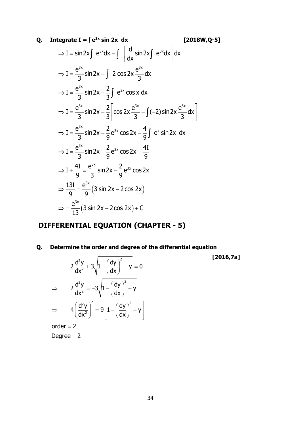### **Q.** Integrate  $I = \int e^{3x} \sin 2x \ dx$  [2018W,Q-5]

$$
[2018W,Q-5]
$$

 **[2016,7a]**

$$
\Rightarrow I = \sin 2x \int e^{3x} dx - \int \left[ \frac{d}{dx} \sin 2x \int e^{3x} dx \right] dx
$$
  
\n
$$
\Rightarrow I = \frac{e^{3x}}{3} \sin 2x - \int 2 \cos 2x \frac{e^{3x}}{3} dx
$$
  
\n
$$
\Rightarrow I = \frac{e^{3x}}{3} \sin 2x - \frac{2}{3} \int e^{3x} \cos x dx
$$
  
\n
$$
\Rightarrow I = \frac{e^{3x}}{3} \sin 2x - \frac{2}{3} \left[ \cos 2x \frac{e^{3x}}{3} - \int (-2) \sin 2x \frac{e^{3x}}{3} dx \right]
$$
  
\n
$$
\Rightarrow I = \frac{e^{3x}}{3} \sin 2x - \frac{2}{9} e^{3x} \cos 2x - \frac{4}{9} \int e^{x} \sin 2x dx
$$
  
\n
$$
\Rightarrow I = \frac{e^{3x}}{3} \sin 2x - \frac{2}{9} e^{3x} \cos 2x - \frac{4I}{9}
$$
  
\n
$$
\Rightarrow I + \frac{4I}{9} = \frac{e^{3x}}{3} \sin 2x - \frac{2}{9} e^{3x} \cos 2x
$$
  
\n
$$
\Rightarrow \frac{13I}{9} = \frac{e^{3x}}{9} (3 \sin 2x - 2 \cos 2x)
$$
  
\n
$$
\Rightarrow = \frac{e^{3x}}{13} (3 \sin 2x - 2 \cos 2x) + C
$$

## **DIFFERENTIAL EQUATION (CHAPTER - 5)**

**Q. Determine the order and degree of the differential equation**

$$
2\frac{d^2y}{dx^2} + 3\sqrt{1 - \left(\frac{dy}{dx}\right)^2 - y} = 0
$$
  
\n
$$
\Rightarrow \qquad 2\frac{d^2y}{dx^2} = -3\sqrt{1 - \left(\frac{dy}{dx}\right)^2 - y}
$$
  
\n
$$
\Rightarrow \qquad 4\left(\frac{d^2y}{dx^2}\right)^2 = 9\left[1 - \left(\frac{dy}{dx}\right)^2 - y\right]
$$

order  $=$  2  $\,$ 

Degree = 2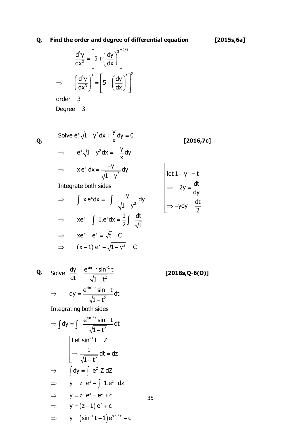### **Q.** Find the order and degree of differential equation

$$
\frac{d^3y}{dx^3} = \left[ 5 + \left( \frac{dy}{dx} \right)^3 \right]^{2/3}
$$

$$
\Rightarrow \qquad \left( \frac{d^3y}{dx^3} \right)^3 = \left[ 5 + \left( \frac{dy}{dx} \right)^3 \right]^2
$$

order = 3 Degree = 3

**Q. [2016,7c]** Solve  $e^x\sqrt{1-y^2}dx + \frac{y}{x}dy = 0$  $e^{x}\sqrt{1-y^2}dx=-\frac{y}{x}dy$ x 2 x 2  $xe^{x} - \int 1.e^{x} dx = \frac{1}{x} \int \frac{dt}{t}$ x  $e^x dx = \frac{-y}{\sqrt{y}} dy$  $1 - y$ Integrate both sides  $x e^{x} dx = -\int \frac{y}{\sqrt{y}} dy$ 1 – y  $\Rightarrow$  xe<sup>x</sup> -  $\int$  1.e<sup>x</sup>dx =  $\frac{1}{2} \int \frac{dt}{\sqrt{t}}$ – v<sup>\_</sup>ax + *∸* av =  $\Rightarrow$  e^  $\sqrt{1} - \sqrt{2}$  ax =  $\Rightarrow$   $xe^{x} dx = \frac{1}{2}$ Ξ  $\Rightarrow$  I xend x =  $\int xe^{x} dx = -\int \frac{y}{\sqrt{1-y}}$ 2  $\Gamma$  $\mathsf{I}$  $\mathbf{I}$  $\Rightarrow -ydy =$ 

$$
\Rightarrow \quad xe^{x} - e^{x} = \sqrt{t} + C
$$
  

$$
\Rightarrow \quad (x - 1) e^{x} - \sqrt{1 - y^{2}} = C
$$

Q. Solve 
$$
\frac{dy}{dt} = \frac{e^{\sin^{-1}t} \sin^{-1}t}{\sqrt{1-t^2}}
$$
 [2018s,Q-6(0)]  
\n $\Rightarrow dy = \frac{e^{\sin^{-1}t} \sin^{-1}t}{\sqrt{1-t^2}} dt$   
\nIntegrating both sides  
\n $\Rightarrow \int dy = \int \frac{e^{\sin^{-1}t} \sin^{-1}t}{\sqrt{1-t^2}} dt$   
\nLet  $\sin^{-1}t = Z$   
\n $\Rightarrow \frac{1}{\sqrt{1-t^2}} dt = dz$   
\n $\Rightarrow \int dy = \int e^z Z dZ$   
\n $\Rightarrow y = z e^z - \int 1.e^z dz$   
\n $\Rightarrow y = z e^z - e^z + c$   
\n $\Rightarrow y = (z-1) e^z + c$   
\n $\Rightarrow y = (\sin^{-1}t - 1) e^{\sin^{-1}t} + c$ 

$$
[2015s, 6a]
$$

$$
\begin{vmatrix} let 1 - y^2 = t \\ \Rightarrow -2y = \frac{dt}{dy} \\ \Rightarrow -ydy = \frac{dt}{2} \end{vmatrix}
$$

$$
[2018s.0-6(0)]
$$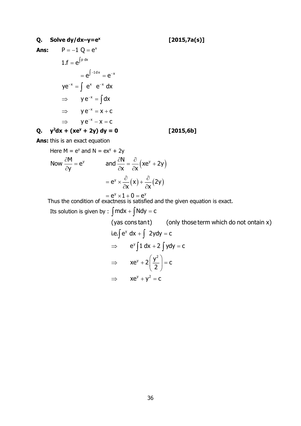### **Q. Solve dy/dx–y=e<sup>x</sup>**

 **[2015,7a(s)]**

**Ans: Q.**  $y^2 dx + (xe^y + 2y) dy = 0$  [2015,6b]  $\mathsf{P} = -\mathsf{1}\ \mathsf{Q} = \mathsf{e}^\mathsf{x}$  $1.f = e^{\int p dx}$  $= e^{\int -1 dx} = e^{-x}$  $ye^{-x} = \int e^{x} e^{-x} dx$  $\Rightarrow$   $ye^{-x} = \int dx$  $\Rightarrow$  ye<sup>-x</sup> = x + c  $\Rightarrow$  ye<sup>-x</sup> - x = c

**Ans:** this is an exact equation

Here M = e<sup>y</sup> and N = ex<sup>y</sup> + 2y  
\nNow 
$$
\frac{\partial M}{\partial y} = e^y
$$
 and  $\frac{\partial N}{\partial x} = \frac{\partial}{\partial x} (xe^y + 2y)$   
\n
$$
= e^y \times \frac{\partial}{\partial x} (x) + \frac{\partial}{\partial x} (2y)
$$

$$
= e^{y} \times 1 + 0 = e^{y}
$$

Thus the condition of exactness is satisfied and the given equation is exact.

Its solution is given by  $\colon \int \text{mdx} + \int \text{Ndy} = \text{c}$ 

i.e. $\int e^{y} dx + \int 2y dy = c$  $\Rightarrow$  e<sup>v</sup>  $\int$  1 dx + 2  $\int$  ydy = c 2  $|xe^{y} + 2|\frac{y^{2}}{2}| = c$  $\implies$   $xe^{y} + y^{2} = c$ (yas cons tant) (only those term which do not ontain x) 2  $(v^2)$  $\Rightarrow$   $xe^{y}+2\left(\frac{7}{2}\right)=$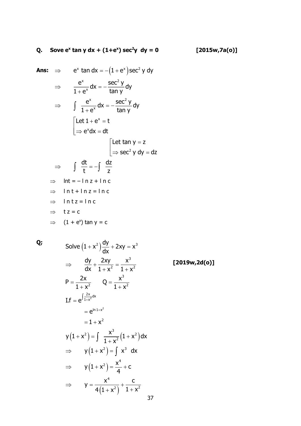## Q. Sove  $e^x \tan y dx + (1+e^x) \sec^2 y dy = 0$  [2015w,7a(o)]

Ans: 
$$
\Rightarrow e^{x} \tan dx = -(1 + e^{x}) \sec^{2} y \, dy
$$

\n
$$
\Rightarrow \frac{e^{x}}{1 + e^{x}} dx = -\frac{\sec^{2} y}{\tan y} dy
$$

\n
$$
\Rightarrow \int \frac{e^{x}}{1 + e^{x}} dx = -\frac{\sec^{2} y}{\tan y} dy
$$

\n
$$
\left[\text{Let } 1 + e^{x} = t\right]
$$

\n
$$
\Rightarrow e^{x} dx = dt
$$

\n
$$
\left[\text{Let } \tan y = z\right]
$$

\n
$$
\Rightarrow \int \frac{dt}{t} = -\int \frac{dz}{z}
$$

\n
$$
\Rightarrow \ln t = -\ln z + \ln c
$$

\n
$$
\Rightarrow \ln t = \ln z + \ln c
$$

\n
$$
\Rightarrow \ln t = \ln c
$$

\n
$$
\Rightarrow t = c
$$

\n
$$
\Rightarrow (1 + e^{x}) \tan y = c
$$

 $Q_i$ 

Solve 
$$
(1 + x^2) \frac{dy}{dx} + 2xy = x^3
$$
  
\n $\Rightarrow \frac{dy}{dx} + \frac{2xy}{1 + x^2} = \frac{x^3}{1 + x^2}$  [2019w, 2d(0)]  
\nP =  $\frac{2x}{1 + x^2}$  Q =  $\frac{x^3}{1 + x^2}$   
\nI.f =  $e^{\int \frac{2x}{1 + x^2} dx}$   
\n=  $e^{\ln 1 + x^2}$   
\n $y(1 + x^2) = \int \frac{x^3}{1 + x^2} (1 + x^2) dx$   
\n $\Rightarrow y(1 + x^2) = \int x^3 dx$   
\n $\Rightarrow y(1 + x^2) = \frac{x^4}{4} + c$   
\n $\Rightarrow y = \frac{x^4}{4(1 + x^2)} + \frac{c}{1 + x^2}$   
\n37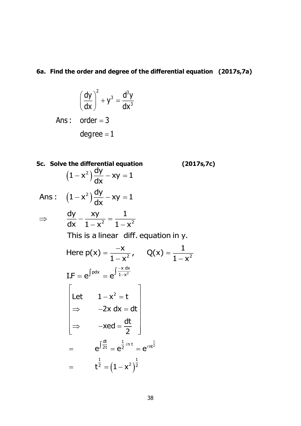### **6a. Find the order and degree of the differential equation (2017s,7a)**

$$
\left(\frac{dy}{dx}\right)^2 + y^3 = \frac{d^3y}{dx^3}
$$
  
Ans: order = 3  
degree = 1

**5c. Solve the differential equation (2017s,7c)**  $(1-x^2)\frac{dy}{dx} - xy = 1$ Ans :  $(1-x^2)\frac{dy}{dx} - xy = 1$ 2 2 1 .2 Here  $p(x) = \frac{-x}{1-x^2}$ ,  $Q(x) = \frac{1}{1-x^2}$  $\mathbf{I}.\mathsf{F} = \mathsf{e}^{\int \mathsf{p} \mathsf{d} \mathsf{x}} = \mathsf{e}^{\int \frac{-\mathsf{x} \; \mathsf{d} \mathsf{x}}{1-\mathsf{x}^2}}$  $- x \int \frac{dx}{dx} - xy =$  $- x \int \frac{dx}{dx} - xy =$ dy xy 1  $\Rightarrow$   $\frac{1}{dx} - \frac{1}{1-x^2} = \frac{1}{1-x}$ This is a linear diff. equation in y.  $1-x^2$   $1-x$ Ξ  $= e^{\int pdx} = e^{\int \frac{-x}{1-x}}$ — x 1—  $=\frac{-x}{x}$ ,  $O(x)$   $(1-x^2)$ 1  $rac{dt}{2t} = e^{\frac{1}{2}ln t} = e^{\ln t^{\frac{1}{2}}}$ 2 1 1  $=$   $t^{\frac{1}{2}} = (1 - x^2)^{\frac{1}{2}}$ Let  $1 - x^2 = t$  $2x dx = dt$  $xed = \frac{dt}{2}$ 2  $e^{\int \frac{dt}{2t}} = e^{\frac{1}{2}ln t} = e^{\ell t}$  $\begin{bmatrix} 1 & 1 & 1 \\ 1 & 1 & 1 \\ 1 & 1 & 1 \end{bmatrix}$ Let  $1-x^2=t$  $\Rightarrow$  -2x dx = dt  $\Rightarrow$   $-xed = \frac{dt}{2}$